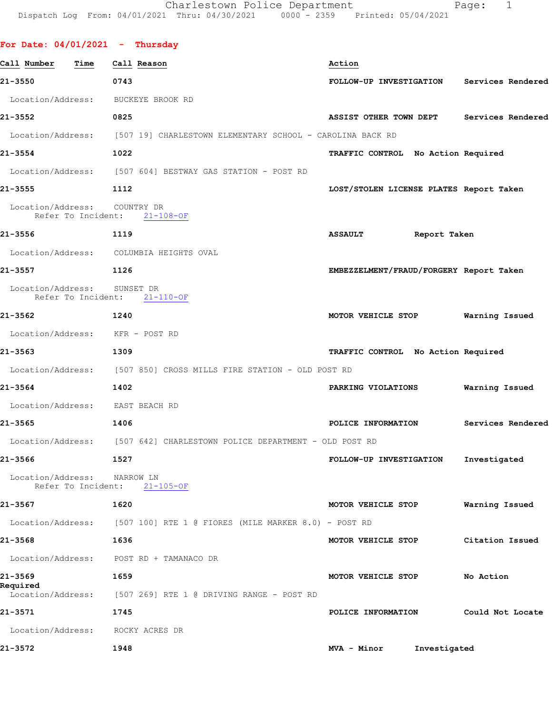| For Date: $04/01/2021$ - Thursday       |                                                                             |                                           |                   |
|-----------------------------------------|-----------------------------------------------------------------------------|-------------------------------------------|-------------------|
| Call Number<br>Time                     | Call Reason                                                                 | Action                                    |                   |
| 21-3550                                 | 0743                                                                        | FOLLOW-UP INVESTIGATION Services Rendered |                   |
| Location/Address: BUCKEYE BROOK RD      |                                                                             |                                           |                   |
| 21-3552                                 | 0825                                                                        | ASSIST OTHER TOWN DEPT Services Rendered  |                   |
|                                         | Location/Address: [507 19] CHARLESTOWN ELEMENTARY SCHOOL - CAROLINA BACK RD |                                           |                   |
| 21-3554                                 | 1022                                                                        | TRAFFIC CONTROL No Action Required        |                   |
|                                         | Location/Address: [507 604] BESTWAY GAS STATION - POST RD                   |                                           |                   |
| 21-3555<br>$\sim$ 1112                  |                                                                             | LOST/STOLEN LICENSE PLATES Report Taken   |                   |
| Location/Address: COUNTRY DR            | Refer To Incident: 21-108-OF                                                |                                           |                   |
| 21-3556                                 | 1119                                                                        | ASSAULT Report Taken                      |                   |
|                                         | Location/Address: COLUMBIA HEIGHTS OVAL                                     |                                           |                   |
| 21-3557<br>1126                         |                                                                             | EMBEZZELMENT/FRAUD/FORGERY Report Taken   |                   |
| Location/Address: SUNSET DR             | Refer To Incident: 21-110-OF                                                |                                           |                   |
| 21-3562                                 | 1240                                                                        | MOTOR VEHICLE STOP Warning Issued         |                   |
| Location/Address: KFR - POST RD         |                                                                             |                                           |                   |
| 21-3563<br>1309                         |                                                                             | TRAFFIC CONTROL No Action Required        |                   |
|                                         | Location/Address: [507 850] CROSS MILLS FIRE STATION - OLD POST RD          |                                           |                   |
| 21-3564                                 | 1402                                                                        | PARKING VIOLATIONS                        | Warning Issued    |
| Location/Address: EAST BEACH RD         |                                                                             |                                           |                   |
| 21-3565                                 | 1406                                                                        | POLICE INFORMATION                        | Services Rendered |
|                                         | Location/Address: [507 642] CHARLESTOWN POLICE DEPARTMENT - OLD POST RD     |                                           |                   |
| 21-3566                                 | 1527                                                                        | FOLLOW-UP INVESTIGATION                   | Investigated      |
| Location/Address:<br>Refer To Incident: | NARROW LN<br>$21 - 105 - OF$                                                |                                           |                   |
| 21-3567                                 | 1620                                                                        | MOTOR VEHICLE STOP                        | Warning Issued    |
| Location/Address:                       | [507 100] RTE 1 @ FIORES (MILE MARKER 8.0) - POST RD                        |                                           |                   |
| 21-3568                                 | 1636                                                                        | MOTOR VEHICLE STOP                        | Citation Issued   |
|                                         | Location/Address: POST RD + TAMANACO DR                                     |                                           |                   |
| 21-3569<br>Required                     | 1659                                                                        | MOTOR VEHICLE STOP                        | No Action         |
| Location/Address:                       | [507 269] RTE 1 @ DRIVING RANGE - POST RD                                   |                                           |                   |
| 21-3571                                 | 1745                                                                        | POLICE INFORMATION                        | Could Not Locate  |
| Location/Address:                       | ROCKY ACRES DR                                                              |                                           |                   |

**21-3572 1948 MVA - Minor Investigated**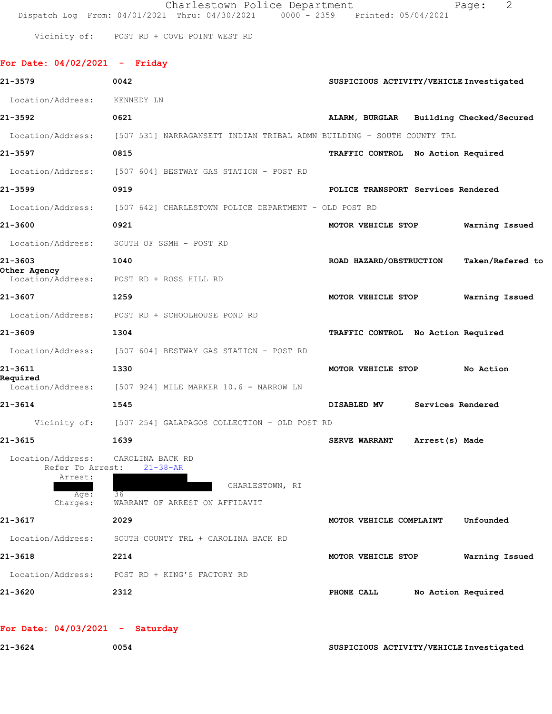Charlestown Police Department The Page: 2 Dispatch Log From: 04/01/2021 Thru: 04/30/2021 0000 - 2359 Printed: 05/04/2021

**For Date: 04/02/2021 - Friday**

Vicinity of: POST RD + COVE POINT WEST RD

| 21-3579                            | 0042                                                                  | SUSPICIOUS ACTIVITY/VEHICLE Investigated    |
|------------------------------------|-----------------------------------------------------------------------|---------------------------------------------|
| Location/Address:                  | KENNEDY LN                                                            |                                             |
| 21-3592                            | 0621                                                                  | ALARM, BURGLAR Building Checked/Secured     |
| Location/Address:                  | [507 531] NARRAGANSETT INDIAN TRIBAL ADMN BUILDING - SOUTH COUNTY TRL |                                             |
| 21-3597                            | 0815                                                                  | TRAFFIC CONTROL No Action Required          |
|                                    | Location/Address: [507 604] BESTWAY GAS STATION - POST RD             |                                             |
| 21-3599                            | 0919                                                                  | POLICE TRANSPORT Services Rendered          |
| Location/Address:                  | [507 642] CHARLESTOWN POLICE DEPARTMENT - OLD POST RD                 |                                             |
| 21-3600                            | 0921                                                                  | MOTOR VEHICLE STOP<br>Warning Issued        |
| Location/Address:                  | SOUTH OF SSMH - POST RD                                               |                                             |
| 21-3603                            | 1040                                                                  | ROAD HAZARD/OBSTRUCTION<br>Taken/Refered to |
| Other Agency                       | Location/Address: POST RD + ROSS HILL RD                              |                                             |
| 21-3607                            | 1259                                                                  | MOTOR VEHICLE STOP<br>Warning Issued        |
| Location/Address:                  | POST RD + SCHOOLHOUSE POND RD                                         |                                             |
| 21-3609                            | 1304                                                                  | TRAFFIC CONTROL No Action Required          |
|                                    | Location/Address: [507 604] BESTWAY GAS STATION - POST RD             |                                             |
| 21-3611                            | 1330                                                                  | MOTOR VEHICLE STOP<br>No Action             |
| Required                           | Location/Address: [507 924] MILE MARKER 10.6 - NARROW LN              |                                             |
| 21-3614                            | 1545                                                                  | DISABLED MV<br>Services Rendered            |
|                                    | Vicinity of: [507 254] GALAPAGOS COLLECTION - OLD POST RD             |                                             |
| 21-3615                            | 1639                                                                  | <b>SERVE WARRANT</b><br>Arrest(s) Made      |
| Location/Address: CAROLINA BACK RD |                                                                       |                                             |
| Refer To Arrest:<br>Arrest:        | $21 - 38 - AR$                                                        |                                             |
| Aqe:                               | CHARLESTOWN, RI<br>36                                                 |                                             |
| Charges:<br>21-3617                | WARRANT OF ARREST ON AFFIDAVIT                                        |                                             |
|                                    | 2029                                                                  | Unfounded<br>MOTOR VEHICLE COMPLAINT        |
| Location/Address:                  | SOUTH COUNTY TRL + CAROLINA BACK RD                                   |                                             |
| 21-3618                            | 2214                                                                  | Warning Issued<br>MOTOR VEHICLE STOP        |
| Location/Address:                  | POST RD + KING'S FACTORY RD                                           |                                             |
| 21-3620                            | 2312                                                                  | PHONE CALL<br>No Action Required            |
| For Date: $04/03/2021$ - Saturday  |                                                                       |                                             |
| 21-3624                            | 0054                                                                  | SUSPICIOUS ACTIVITY/VEHICLE Investigated    |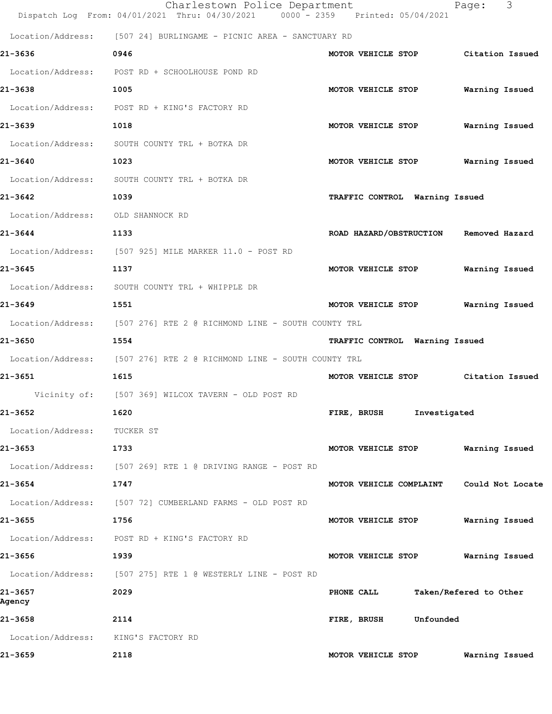|                                   | Charlestown Police Department<br>Dispatch Log From: 04/01/2021 Thru: 04/30/2021 0000 - 2359 Printed: 05/04/2021 | 3<br>Page:                                  |
|-----------------------------------|-----------------------------------------------------------------------------------------------------------------|---------------------------------------------|
|                                   | Location/Address: [507 24] BURLINGAME - PICNIC AREA - SANCTUARY RD                                              |                                             |
| 21-3636                           | 0946                                                                                                            | MOTOR VEHICLE STOP<br>Citation Issued       |
| Location/Address:                 | POST RD + SCHOOLHOUSE POND RD                                                                                   |                                             |
| 21-3638                           | 1005                                                                                                            | MOTOR VEHICLE STOP<br>Warning Issued        |
|                                   | Location/Address: POST RD + KING'S FACTORY RD                                                                   |                                             |
| 21-3639                           | 1018                                                                                                            | MOTOR VEHICLE STOP<br>Warning Issued        |
| Location/Address:                 | SOUTH COUNTY TRL + BOTKA DR                                                                                     |                                             |
| 21-3640                           | 1023                                                                                                            | MOTOR VEHICLE STOP<br>Warning Issued        |
| Location/Address:                 | SOUTH COUNTY TRL + BOTKA DR                                                                                     |                                             |
| 21-3642                           | 1039                                                                                                            | TRAFFIC CONTROL Warning Issued              |
| Location/Address: OLD SHANNOCK RD |                                                                                                                 |                                             |
| 21-3644                           | 1133                                                                                                            | ROAD HAZARD/OBSTRUCTION<br>Removed Hazard   |
|                                   | Location/Address: [507 925] MILE MARKER 11.0 - POST RD                                                          |                                             |
| 21-3645                           | 1137                                                                                                            | MOTOR VEHICLE STOP<br>Warning Issued        |
| Location/Address:                 | SOUTH COUNTY TRL + WHIPPLE DR                                                                                   |                                             |
| 21-3649                           | 1551                                                                                                            | MOTOR VEHICLE STOP<br>Warning Issued        |
|                                   | Location/Address: [507 276] RTE 2 @ RICHMOND LINE - SOUTH COUNTY TRL                                            |                                             |
| 21-3650                           | 1554                                                                                                            | TRAFFIC CONTROL Warning Issued              |
|                                   | Location/Address: [507 276] RTE 2 @ RICHMOND LINE - SOUTH COUNTY TRL                                            |                                             |
| 21-3651                           | 1615                                                                                                            | MOTOR VEHICLE STOP<br>Citation Issued       |
|                                   | Vicinity of: [507 369] WILCOX TAVERN - OLD POST RD                                                              |                                             |
| 21-3652                           | 1620                                                                                                            | FIRE, BRUSH<br>Investigated                 |
| Location/Address:                 | TUCKER ST                                                                                                       |                                             |
| 21-3653                           | 1733                                                                                                            | Warning Issued<br>MOTOR VEHICLE STOP        |
| Location/Address:                 | [507 269] RTE 1 @ DRIVING RANGE - POST RD                                                                       |                                             |
| 21-3654                           | 1747                                                                                                            | MOTOR VEHICLE COMPLAINT<br>Could Not Locate |
|                                   | Location/Address: [507 72] CUMBERLAND FARMS - OLD POST RD                                                       |                                             |
| 21-3655                           | 1756                                                                                                            | Warning Issued<br>MOTOR VEHICLE STOP        |
| Location/Address:                 | POST RD + KING'S FACTORY RD                                                                                     |                                             |
| 21-3656                           | 1939                                                                                                            | Warning Issued<br>MOTOR VEHICLE STOP        |
| Location/Address:                 | [507 275] RTE 1 @ WESTERLY LINE - POST RD                                                                       |                                             |
| 21-3657<br>Agency                 | 2029                                                                                                            | Taken/Refered to Other<br>PHONE CALL        |
| 21-3658                           | 2114                                                                                                            | Unfounded<br>FIRE, BRUSH                    |
| Location/Address:                 | KING'S FACTORY RD                                                                                               |                                             |
| 21-3659                           | 2118                                                                                                            | Warning Issued<br>MOTOR VEHICLE STOP        |
|                                   |                                                                                                                 |                                             |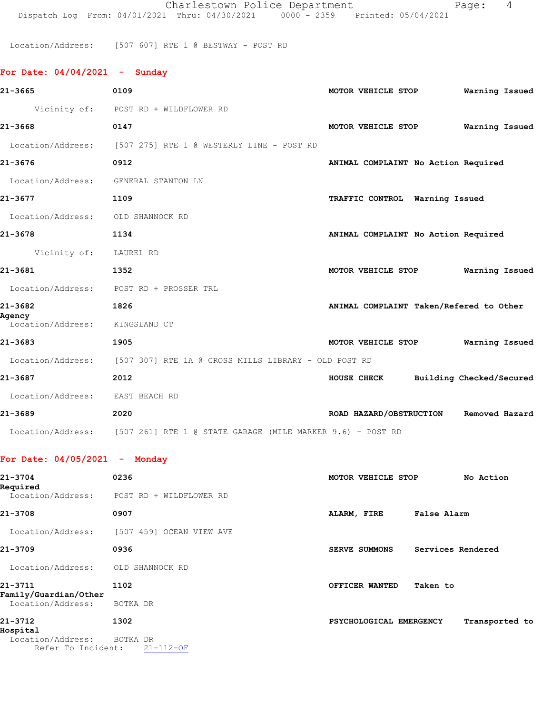Charlestown Police Department Fage: 4 Dispatch Log From: 04/01/2021 Thru: 04/30/2021 0000 - 2359 Printed: 05/04/2021

Location/Address: [507 607] RTE 1 @ BESTWAY - POST RD

| For Date: $04/04/2021$ - Sunday      |                                                                              |                                         |           |
|--------------------------------------|------------------------------------------------------------------------------|-----------------------------------------|-----------|
| 21-3665                              | 0109                                                                         | MOTOR VEHICLE STOP Warning Issued       |           |
|                                      | Vicinity of: POST RD + WILDFLOWER RD                                         |                                         |           |
| 21-3668                              | 0147                                                                         | MOTOR VEHICLE STOP Warning Issued       |           |
|                                      | Location/Address: [507 275] RTE 1 @ WESTERLY LINE - POST RD                  |                                         |           |
| 21-3676                              | 0912                                                                         | ANIMAL COMPLAINT No Action Required     |           |
| Location/Address: GENERAL STANTON LN |                                                                              |                                         |           |
| 21-3677                              | 1109                                                                         | TRAFFIC CONTROL Warning Issued          |           |
| Location/Address: OLD SHANNOCK RD    |                                                                              |                                         |           |
| 21-3678                              | 1134                                                                         | ANIMAL COMPLAINT No Action Required     |           |
| Vicinity of: LAUREL RD               |                                                                              |                                         |           |
| 21-3681                              | 1352                                                                         | MOTOR VEHICLE STOP Warning Issued       |           |
|                                      | Location/Address: POST RD + PROSSER TRL                                      |                                         |           |
| 21-3682<br>Agency                    | 1826                                                                         | ANIMAL COMPLAINT Taken/Refered to Other |           |
| Location/Address: KINGSLAND CT       |                                                                              |                                         |           |
| 21-3683                              | 1905                                                                         | MOTOR VEHICLE STOP Warning Issued       |           |
|                                      | Location/Address: [507 307] RTE 1A @ CROSS MILLS LIBRARY - OLD POST RD       |                                         |           |
| 21-3687                              | 2012                                                                         | HOUSE CHECK Building Checked/Secured    |           |
| Location/Address: EAST BEACH RD      |                                                                              |                                         |           |
| 21-3689                              | 2020                                                                         | ROAD HAZARD/OBSTRUCTION Removed Hazard  |           |
|                                      | Location/Address: [507 261] RTE 1 @ STATE GARAGE (MILE MARKER 9.6) - POST RD |                                         |           |
| For Date: $04/05/2021$ - Monday      |                                                                              |                                         |           |
| 21-3704                              | 0236                                                                         | MOTOR VEHICLE STOP                      | No Action |

| 21-3704<br>Required                                 | 0236                        | MOTOR VEHICLE STOP      |                   | No Action      |  |
|-----------------------------------------------------|-----------------------------|-------------------------|-------------------|----------------|--|
| Location/Address:                                   | POST RD + WILDFLOWER RD     |                         |                   |                |  |
| 21-3708                                             | 0907                        | ALARM, FIRE             | False Alarm       |                |  |
| Location/Address:                                   | [507 459] OCEAN VIEW AVE    |                         |                   |                |  |
| 21-3709                                             | 0936                        | SERVE SUMMONS           | Services Rendered |                |  |
| Location/Address:                                   | OLD SHANNOCK RD             |                         |                   |                |  |
| 21-3711<br>Family/Guardian/Other                    | 1102                        | OFFICER WANTED          | Taken to          |                |  |
| Location/Address:                                   | BOTKA DR                    |                         |                   |                |  |
| 21-3712                                             | 1302                        | PSYCHOLOGICAL EMERGENCY |                   | Transported to |  |
| Hospital<br>Location/Address:<br>Refer To Incident: | BOTKA DR<br>$21 - 112 - OF$ |                         |                   |                |  |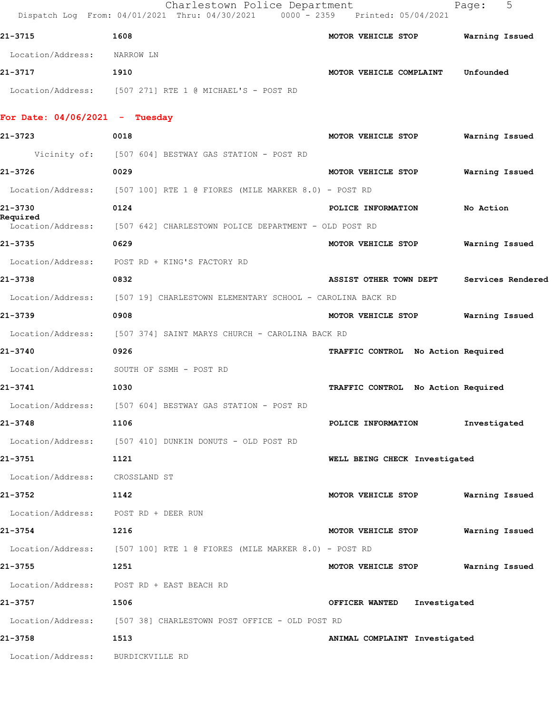|                                           | Charlestown Police Department<br>Dispatch Log From: 04/01/2021 Thru: 04/30/2021 0000 - 2359 Printed: 05/04/2021 |                                    | 5<br>Page:        |
|-------------------------------------------|-----------------------------------------------------------------------------------------------------------------|------------------------------------|-------------------|
| 21-3715                                   | 1608                                                                                                            | MOTOR VEHICLE STOP                 | Warning Issued    |
| Location/Address:                         | NARROW LN                                                                                                       |                                    |                   |
| 21-3717                                   | 1910                                                                                                            | MOTOR VEHICLE COMPLAINT            | Unfounded         |
|                                           | Location/Address: [507 271] RTE 1 @ MICHAEL'S - POST RD                                                         |                                    |                   |
|                                           |                                                                                                                 |                                    |                   |
| For Date: 04/06/2021 - Tuesday<br>21-3723 | 0018                                                                                                            | MOTOR VEHICLE STOP                 | Warning Issued    |
|                                           | Vicinity of: [507 604] BESTWAY GAS STATION - POST RD                                                            |                                    |                   |
| 21-3726                                   | 0029                                                                                                            | MOTOR VEHICLE STOP                 | Warning Issued    |
| Location/Address:                         | [507 100] RTE 1 @ FIORES (MILE MARKER 8.0) - POST RD                                                            |                                    |                   |
| 21-3730                                   | 0124                                                                                                            | POLICE INFORMATION                 | No Action         |
| Required                                  | Location/Address: [507 642] CHARLESTOWN POLICE DEPARTMENT - OLD POST RD                                         |                                    |                   |
| 21-3735                                   | 0629                                                                                                            | MOTOR VEHICLE STOP                 | Warning Issued    |
| Location/Address:                         | POST RD + KING'S FACTORY RD                                                                                     |                                    |                   |
| 21-3738                                   | 0832                                                                                                            | <b>ASSIST OTHER TOWN DEPT</b>      | Services Rendered |
| Location/Address:                         | [507 19] CHARLESTOWN ELEMENTARY SCHOOL - CAROLINA BACK RD                                                       |                                    |                   |
| 21-3739                                   | 0908                                                                                                            | MOTOR VEHICLE STOP                 | Warning Issued    |
|                                           | Location/Address: [507 374] SAINT MARYS CHURCH - CAROLINA BACK RD                                               |                                    |                   |
| 21-3740                                   | 0926                                                                                                            | TRAFFIC CONTROL No Action Required |                   |
| Location/Address:                         | SOUTH OF SSMH - POST RD                                                                                         |                                    |                   |
| 21-3741                                   | 1030                                                                                                            | TRAFFIC CONTROL No Action Required |                   |
|                                           | Location/Address: [507 604] BESTWAY GAS STATION - POST RD                                                       |                                    |                   |
| 21-3748                                   | 1106                                                                                                            | POLICE INFORMATION                 | Investigated      |
|                                           | Location/Address: [507 410] DUNKIN DONUTS - OLD POST RD                                                         |                                    |                   |
| 21-3751                                   | 1121                                                                                                            | WELL BEING CHECK Investigated      |                   |
| Location/Address: CROSSLAND ST            |                                                                                                                 |                                    |                   |
| 21-3752<br>1142                           |                                                                                                                 | MOTOR VEHICLE STOP                 | Warning Issued    |
| Location/Address: POST RD + DEER RUN      |                                                                                                                 |                                    |                   |
| 21-3754                                   | 1216                                                                                                            | MOTOR VEHICLE STOP                 | Warning Issued    |
|                                           | Location/Address: [507 100] RTE 1 @ FIORES (MILE MARKER 8.0) - POST RD                                          |                                    |                   |
| 21-3755                                   | 1251                                                                                                            | MOTOR VEHICLE STOP                 | Warning Issued    |
|                                           | Location/Address: POST RD + EAST BEACH RD                                                                       |                                    |                   |
| 21-3757                                   | 1506                                                                                                            | OFFICER WANTED Investigated        |                   |
|                                           | Location/Address: [507 38] CHARLESTOWN POST OFFICE - OLD POST RD                                                |                                    |                   |
| 21-3758                                   | 1513                                                                                                            | ANIMAL COMPLAINT Investigated      |                   |
| Location/Address: BURDICKVILLE RD         |                                                                                                                 |                                    |                   |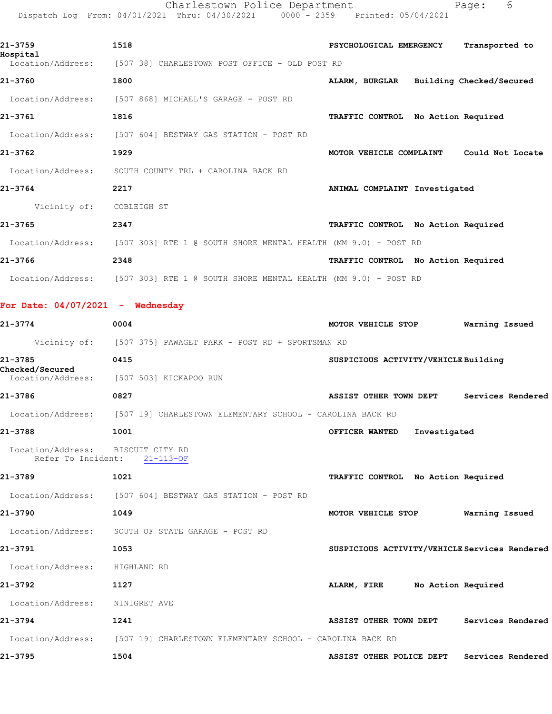Charlestown Police Department Page: 6 Dispatch Log From: 04/01/2021 Thru: 04/30/2021 0000 - 2359 Printed: 05/04/2021

| 21-3759<br>Hospital | 1518                                                                 | Transported to<br>PSYCHOLOGICAL EMERGENCY    |
|---------------------|----------------------------------------------------------------------|----------------------------------------------|
| Location/Address:   | [507 38] CHARLESTOWN POST OFFICE - OLD POST RD                       |                                              |
| 21-3760             | 1800                                                                 | ALARM, BURGLAR Building Checked/Secured      |
| Location/Address:   | [507 868] MICHAEL'S GARAGE - POST RD                                 |                                              |
| 21-3761             | 1816                                                                 | No Action Required<br><b>TRAFFIC CONTROL</b> |
| Location/Address:   | [507 604] BESTWAY GAS STATION - POST RD                              |                                              |
| 21-3762             | 1929                                                                 | Could Not Locate<br>MOTOR VEHICLE COMPLAINT  |
| Location/Address:   | SOUTH COUNTY TRL + CAROLINA BACK RD                                  |                                              |
| 21-3764             | 2217                                                                 | ANIMAL COMPLAINT Investigated                |
| Vicinity of:        | COBLEIGH ST                                                          |                                              |
| 21-3765             | 2347                                                                 | TRAFFIC CONTROL No Action Required           |
| Location/Address:   | $[507\;303]$ RTE 1 @ SOUTH SHORE MENTAL HEALTH (MM $9.0$ ) - POST RD |                                              |
| 21-3766             | 2348                                                                 | TRAFFIC CONTROL No Action Required           |
| Location/Address:   | [507 303] RTE 1 @ SOUTH SHORE MENTAL HEALTH (MM 9.0) - POST RD       |                                              |

**For Date: 04/07/2021 - Wednesday**

**21-3774 0004 MOTOR VEHICLE STOP Warning Issued** Vicinity of: [507 375] PAWAGET PARK - POST RD + SPORTSMAN RD **21-3785 0415 SUSPICIOUS ACTIVITY/VEHICLE Building Checked/Secured**  [507 503] KICKAPOO RUN **21-3786 0827 ASSIST OTHER TOWN DEPT Services Rendered** Location/Address: [507 19] CHARLESTOWN ELEMENTARY SCHOOL - CAROLINA BACK RD **21-3788 1001 OFFICER WANTED Investigated** Location/Address: BISCUIT CITY RD Refer To Incident: 21-113-OF **21-3789 1021 TRAFFIC CONTROL No Action Required** Location/Address: [507 604] BESTWAY GAS STATION - POST RD **21-3790 1049 MOTOR VEHICLE STOP Warning Issued** Location/Address: SOUTH OF STATE GARAGE - POST RD **21-3791 1053 SUSPICIOUS ACTIVITY/VEHICLE Services Rendered** Location/Address: HIGHLAND RD **21-3792 1127 ALARM, FIRE No Action Required** Location/Address: NINIGRET AVE **21-3794 1241 ASSIST OTHER TOWN DEPT Services Rendered** Location/Address: [507 19] CHARLESTOWN ELEMENTARY SCHOOL - CAROLINA BACK RD **21-3795 1504 ASSIST OTHER POLICE DEPT Services Rendered**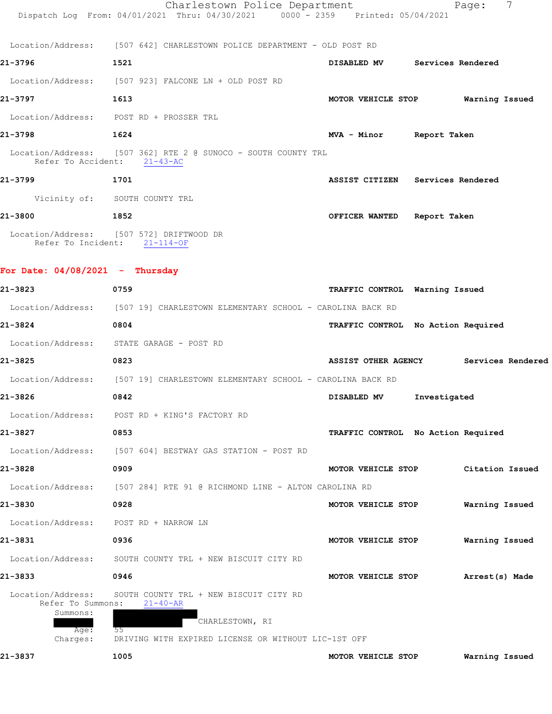|                                                                        | Charlestown Police Department<br>Dispatch Log From: 04/01/2021 Thru: 04/30/2021 0000 - 2359 Printed: 05/04/2021                          |                                       |              | 7<br>Page:      |  |
|------------------------------------------------------------------------|------------------------------------------------------------------------------------------------------------------------------------------|---------------------------------------|--------------|-----------------|--|
|                                                                        | Location/Address: [507 642] CHARLESTOWN POLICE DEPARTMENT - OLD POST RD                                                                  |                                       |              |                 |  |
| 21-3796                                                                | 1521                                                                                                                                     | DISABLED MV Services Rendered         |              |                 |  |
|                                                                        | Location/Address: [507 923] FALCONE LN + OLD POST RD                                                                                     |                                       |              |                 |  |
| 21-3797                                                                | 1613                                                                                                                                     | MOTOR VEHICLE STOP Warning Issued     |              |                 |  |
|                                                                        | Location/Address: POST RD + PROSSER TRL                                                                                                  |                                       |              |                 |  |
| 21-3798                                                                | 1624                                                                                                                                     | MVA - Minor Report Taken              |              |                 |  |
|                                                                        | Location/Address: [507 362] RTE 2 @ SUNOCO - SOUTH COUNTY TRL<br>Refer To Accident: 21-43-AC                                             |                                       |              |                 |  |
| 21-3799                                                                | 1701                                                                                                                                     | ASSIST CITIZEN Services Rendered      |              |                 |  |
|                                                                        | Vicinity of: SOUTH COUNTY TRL                                                                                                            |                                       |              |                 |  |
| 21-3800<br>$\sim$ 1852                                                 |                                                                                                                                          | OFFICER WANTED Report Taken           |              |                 |  |
|                                                                        | Location/Address: [507 572] DRIFTWOOD DR<br>Refer To Incident: 21-114-OF                                                                 |                                       |              |                 |  |
| For Date: $04/08/2021$ - Thursday                                      |                                                                                                                                          |                                       |              |                 |  |
| 21-3823                                                                | 0759                                                                                                                                     | TRAFFIC CONTROL Warning Issued        |              |                 |  |
|                                                                        | Location/Address: [507 19] CHARLESTOWN ELEMENTARY SCHOOL - CAROLINA BACK RD                                                              |                                       |              |                 |  |
| 21-3824                                                                | 0804                                                                                                                                     | TRAFFIC CONTROL No Action Required    |              |                 |  |
|                                                                        | Location/Address: STATE GARAGE - POST RD                                                                                                 |                                       |              |                 |  |
| 21-3825                                                                | 0823                                                                                                                                     | ASSIST OTHER AGENCY Services Rendered |              |                 |  |
|                                                                        | Location/Address: [507 19] CHARLESTOWN ELEMENTARY SCHOOL - CAROLINA BACK RD                                                              |                                       |              |                 |  |
| 21-3826                                                                | 0842                                                                                                                                     | DISABLED MV                           | Investigated |                 |  |
| Location/Address:                                                      | POST RD + KING'S FACTORY RD                                                                                                              |                                       |              |                 |  |
| 21-3827                                                                | 0853                                                                                                                                     | TRAFFIC CONTROL No Action Required    |              |                 |  |
| Location/Address:                                                      | [507 604] BESTWAY GAS STATION - POST RD                                                                                                  |                                       |              |                 |  |
| 21-3828                                                                | 0909                                                                                                                                     | MOTOR VEHICLE STOP                    |              | Citation Issued |  |
| Location/Address:                                                      | [507 284] RTE 91 @ RICHMOND LINE - ALTON CAROLINA RD                                                                                     |                                       |              |                 |  |
| 21-3830                                                                | 0928                                                                                                                                     | MOTOR VEHICLE STOP                    |              | Warning Issued  |  |
| Location/Address:                                                      | POST RD + NARROW LN                                                                                                                      |                                       |              |                 |  |
| 21–3831                                                                | 0936                                                                                                                                     | MOTOR VEHICLE STOP                    |              | Warning Issued  |  |
| Location/Address:                                                      | SOUTH COUNTY TRL + NEW BISCUIT CITY RD                                                                                                   |                                       |              |                 |  |
| 21-3833                                                                | 0946                                                                                                                                     | MOTOR VEHICLE STOP                    |              | Arrest(s) Made  |  |
| Location/Address:<br>Refer To Summons:<br>Summons:<br>Age:<br>Charges: | SOUTH COUNTY TRL + NEW BISCUIT CITY RD<br>$21 - 40 - AR$<br>CHARLESTOWN, RI<br>55<br>DRIVING WITH EXPIRED LICENSE OR WITHOUT LIC-1ST OFF |                                       |              |                 |  |
| 21-3837                                                                | 1005                                                                                                                                     | MOTOR VEHICLE STOP                    |              | Warning Issued  |  |
|                                                                        |                                                                                                                                          |                                       |              |                 |  |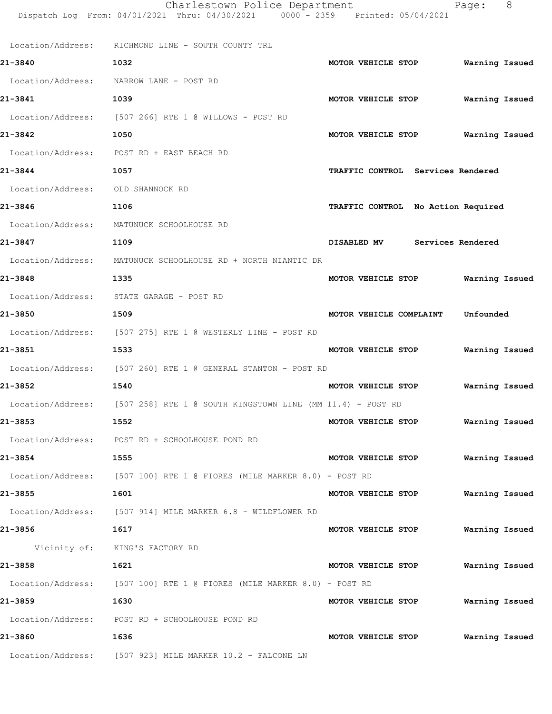|                   | Charlestown Police Department<br>Dispatch Log From: 04/01/2021 Thru: 04/30/2021 0000 - 2359 Printed: 05/04/2021 | Page:                                | -8 |
|-------------------|-----------------------------------------------------------------------------------------------------------------|--------------------------------------|----|
|                   | Location/Address: RICHMOND LINE - SOUTH COUNTY TRL                                                              |                                      |    |
| 21-3840           | 1032                                                                                                            | MOTOR VEHICLE STOP<br>Warning Issued |    |
| Location/Address: | NARROW LANE - POST RD                                                                                           |                                      |    |
| 21-3841           | 1039                                                                                                            | MOTOR VEHICLE STOP<br>Warning Issued |    |
|                   | Location/Address: [507 266] RTE 1 @ WILLOWS - POST RD                                                           |                                      |    |
| 21-3842           | 1050                                                                                                            | Warning Issued<br>MOTOR VEHICLE STOP |    |
| Location/Address: | POST RD + EAST BEACH RD                                                                                         |                                      |    |
| 21-3844           | 1057                                                                                                            | TRAFFIC CONTROL Services Rendered    |    |
| Location/Address: | OLD SHANNOCK RD                                                                                                 |                                      |    |
| 21-3846           | 1106                                                                                                            | TRAFFIC CONTROL No Action Required   |    |
| Location/Address: | MATUNUCK SCHOOLHOUSE RD                                                                                         |                                      |    |
| 21-3847           | 1109                                                                                                            | DISABLED MV<br>Services Rendered     |    |
|                   | Location/Address: MATUNUCK SCHOOLHOUSE RD + NORTH NIANTIC DR                                                    |                                      |    |
| 21-3848           | 1335                                                                                                            | MOTOR VEHICLE STOP<br>Warning Issued |    |
|                   | Location/Address: STATE GARAGE - POST RD                                                                        |                                      |    |
| 21-3850           | 1509                                                                                                            | MOTOR VEHICLE COMPLAINT<br>Unfounded |    |
|                   | Location/Address: [507 275] RTE 1 @ WESTERLY LINE - POST RD                                                     |                                      |    |
| 21–3851           | 1533                                                                                                            | MOTOR VEHICLE STOP<br>Warning Issued |    |
|                   | Location/Address: [507 260] RTE 1 @ GENERAL STANTON - POST RD                                                   |                                      |    |
| 21-3852           | 1540                                                                                                            | MOTOR VEHICLE STOP<br>Warning Issued |    |
|                   | Location/Address: [507 258] RTE 1 @ SOUTH KINGSTOWN LINE (MM 11.4) - POST RD                                    |                                      |    |
| 21-3853           | 1552                                                                                                            | MOTOR VEHICLE STOP Warning Issued    |    |
|                   | Location/Address: POST RD + SCHOOLHOUSE POND RD                                                                 |                                      |    |
| 21-3854           | 1555                                                                                                            | Warning Issued<br>MOTOR VEHICLE STOP |    |
|                   | Location/Address: [507 100] RTE 1 @ FIORES (MILE MARKER 8.0) - POST RD                                          |                                      |    |
| 21-3855           | 1601                                                                                                            | MOTOR VEHICLE STOP Warning Issued    |    |
|                   | Location/Address: [507 914] MILE MARKER 6.8 - WILDFLOWER RD                                                     |                                      |    |
| 21-3856           | 1617                                                                                                            | MOTOR VEHICLE STOP Warning Issued    |    |
|                   | Vicinity of: KING'S FACTORY RD                                                                                  |                                      |    |
| 21-3858           | 1621                                                                                                            | MOTOR VEHICLE STOP<br>Warning Issued |    |
|                   | Location/Address: [507 100] RTE 1 @ FIORES (MILE MARKER 8.0) - POST RD                                          |                                      |    |
| 21-3859           | 1630                                                                                                            | MOTOR VEHICLE STOP Warning Issued    |    |
|                   | Location/Address: POST RD + SCHOOLHOUSE POND RD                                                                 |                                      |    |
| 21-3860           | 1636                                                                                                            | Warning Issued<br>MOTOR VEHICLE STOP |    |
|                   | Location/Address: [507 923] MILE MARKER 10.2 - FALCONE LN                                                       |                                      |    |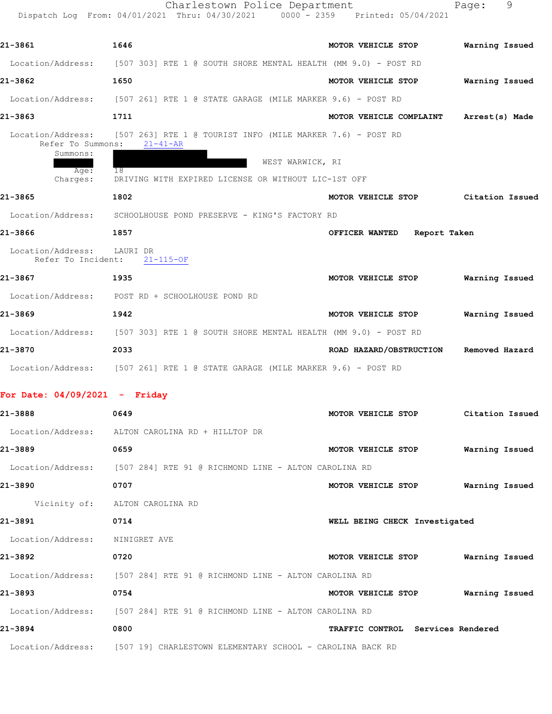|                                                                        | Charlestown Police Department<br>Dispatch Log From: 04/01/2021 Thru: 04/30/2021 0000 - 2359 Printed: 05/04/2021                                                 |                                | 9<br>Page:      |
|------------------------------------------------------------------------|-----------------------------------------------------------------------------------------------------------------------------------------------------------------|--------------------------------|-----------------|
| 21-3861                                                                | 1646                                                                                                                                                            | MOTOR VEHICLE STOP             | Warning Issued  |
| Location/Address:                                                      | [507 303] RTE 1 @ SOUTH SHORE MENTAL HEALTH (MM 9.0) - POST RD                                                                                                  |                                |                 |
| 21-3862                                                                | 1650                                                                                                                                                            | MOTOR VEHICLE STOP             | Warning Issued  |
| Location/Address:                                                      | [507 261] RTE 1 @ STATE GARAGE (MILE MARKER 9.6) - POST RD                                                                                                      |                                |                 |
| 21-3863                                                                | 1711                                                                                                                                                            | MOTOR VEHICLE COMPLAINT        | Arrest(s) Made  |
| Location/Address:<br>Refer To Summons:<br>Summons:<br>Age:<br>Charges: | $[507 263]$ RTE 1 @ TOURIST INFO (MILE MARKER 7.6) - POST RD<br>$21 - 41 - AR$<br>WEST WARWICK, RI<br>18<br>DRIVING WITH EXPIRED LICENSE OR WITHOUT LIC-1ST OFF |                                |                 |
| 21-3865                                                                | 1802                                                                                                                                                            | MOTOR VEHICLE STOP             | Citation Issued |
| Location/Address:                                                      | SCHOOLHOUSE POND PRESERVE - KING'S FACTORY RD                                                                                                                   |                                |                 |
| 21-3866                                                                | 1857                                                                                                                                                            | OFFICER WANTED<br>Report Taken |                 |
| Location/Address:<br>Refer To Incident:                                | LAURI DR<br>$21 - 115 - OF$                                                                                                                                     |                                |                 |
| 21-3867                                                                | 1935                                                                                                                                                            | MOTOR VEHICLE STOP             | Warning Issued  |
|                                                                        | Location/Address: POST RD + SCHOOLHOUSE POND RD                                                                                                                 |                                |                 |
| 21-3869                                                                | 1942                                                                                                                                                            | MOTOR VEHICLE STOP             | Warning Issued  |
|                                                                        | Location/Address: [507 303] RTE 1 @ SOUTH SHORE MENTAL HEALTH (MM 9.0) - POST RD                                                                                |                                |                 |
| 21-3870                                                                | 2033                                                                                                                                                            | ROAD HAZARD/OBSTRUCTION        | Removed Hazard  |
|                                                                        | Location/Address: [507 261] RTE 1 @ STATE GARAGE (MILE MARKER 9.6) - POST RD                                                                                    |                                |                 |
| For Date: $04/09/2021$ - Friday                                        |                                                                                                                                                                 |                                |                 |
| 21-3888                                                                | 0649                                                                                                                                                            | MOTOR VEHICLE STOP             | Citation Issued |
| Location/Address:                                                      | ALTON CAROLINA RD + HILLTOP DR                                                                                                                                  |                                |                 |
| 21-3889                                                                | 0659                                                                                                                                                            | MOTOR VEHICLE STOP             | Warning Issued  |

| 21-3892           | 0720                                                 | MOTOR VEHICLE STOP | Warning Issued                    |
|-------------------|------------------------------------------------------|--------------------|-----------------------------------|
| Location/Address: | [507 284] RTE 91 @ RICHMOND LINE - ALTON CAROLINA RD |                    |                                   |
| 21-3893           | 0754                                                 | MOTOR VEHICLE STOP | Warning Issued                    |
| Location/Address: | [507 284] RTE 91 @ RICHMOND LINE - ALTON CAROLINA RD |                    |                                   |
| 21-3894           | 0800                                                 |                    | TRAFFIC CONTROL Services Rendered |
|                   |                                                      |                    |                                   |

**21-3890 0707 MOTOR VEHICLE STOP Warning Issued**

**21-3891 0714 WELL BEING CHECK Investigated**

Location/Address: [507 19] CHARLESTOWN ELEMENTARY SCHOOL - CAROLINA BACK RD

Location/Address: [507 284] RTE 91 @ RICHMOND LINE - ALTON CAROLINA RD

Vicinity of: ALTON CAROLINA RD

Location/Address: NINIGRET AVE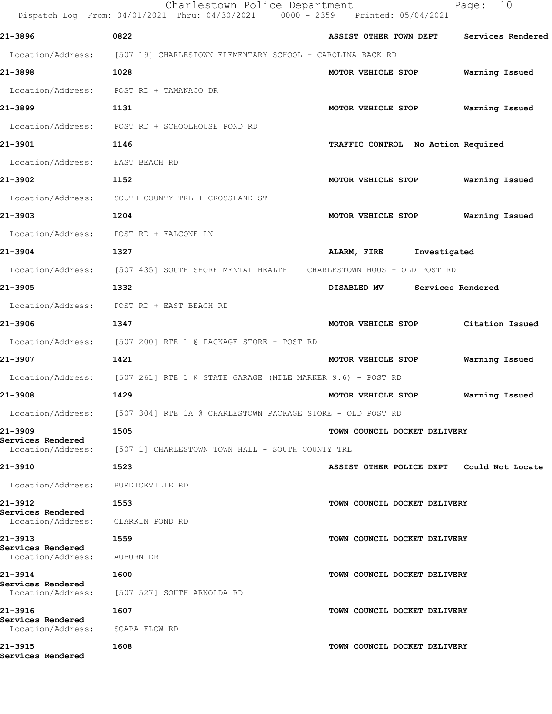|                                                        | Charlestown Police Department<br>Dispatch Log From: 04/01/2021 Thru: 04/30/2021 0000 - 2359 Printed: 05/04/2021 |                                           | 10<br>Page:       |
|--------------------------------------------------------|-----------------------------------------------------------------------------------------------------------------|-------------------------------------------|-------------------|
| 21-3896                                                | 0822                                                                                                            | ASSIST OTHER TOWN DEPT                    | Services Rendered |
|                                                        | Location/Address: [507 19] CHARLESTOWN ELEMENTARY SCHOOL - CAROLINA BACK RD                                     |                                           |                   |
| 21-3898                                                | 1028                                                                                                            | MOTOR VEHICLE STOP                        | Warning Issued    |
|                                                        | Location/Address: POST RD + TAMANACO DR                                                                         |                                           |                   |
| 21-3899                                                | 1131                                                                                                            | MOTOR VEHICLE STOP                        | Warning Issued    |
| Location/Address:                                      | POST RD + SCHOOLHOUSE POND RD                                                                                   |                                           |                   |
| 21-3901                                                | 1146                                                                                                            | TRAFFIC CONTROL No Action Required        |                   |
| Location/Address: EAST BEACH RD                        |                                                                                                                 |                                           |                   |
| 21-3902                                                | 1152                                                                                                            | MOTOR VEHICLE STOP                        | Warning Issued    |
|                                                        | Location/Address: SOUTH COUNTY TRL + CROSSLAND ST                                                               |                                           |                   |
| 21-3903                                                | 1204                                                                                                            | MOTOR VEHICLE STOP                        | Warning Issued    |
| Location/Address:                                      | POST RD + FALCONE LN                                                                                            |                                           |                   |
| 21-3904                                                | 1327                                                                                                            | ALARM, FIRE Investigated                  |                   |
|                                                        | Location/Address: [507 435] SOUTH SHORE MENTAL HEALTH CHARLESTOWN HOUS - OLD POST RD                            |                                           |                   |
| 21-3905                                                | 1332                                                                                                            | DISABLED MV Services Rendered             |                   |
|                                                        | Location/Address: POST RD + EAST BEACH RD                                                                       |                                           |                   |
| 21-3906                                                | 1347                                                                                                            | MOTOR VEHICLE STOP                        | Citation Issued   |
| Location/Address:                                      | [507 200] RTE 1 @ PACKAGE STORE - POST RD                                                                       |                                           |                   |
| 21-3907                                                | 1421                                                                                                            | MOTOR VEHICLE STOP                        | Warning Issued    |
|                                                        | Location/Address: [507 261] RTE 1 @ STATE GARAGE (MILE MARKER 9.6) - POST RD                                    |                                           |                   |
| 21-3908                                                | 1429                                                                                                            | MOTOR VEHICLE STOP                        | Warning Issued    |
|                                                        | Location/Address: [507 304] RTE 1A @ CHARLESTOWN PACKAGE STORE - OLD POST RD                                    |                                           |                   |
| 21-3909                                                | 1505                                                                                                            | TOWN COUNCIL DOCKET DELIVERY              |                   |
| Services Rendered                                      | Location/Address: [507 1] CHARLESTOWN TOWN HALL - SOUTH COUNTY TRL                                              |                                           |                   |
| 21-3910                                                | 1523                                                                                                            | ASSIST OTHER POLICE DEPT Could Not Locate |                   |
| Location/Address: BURDICKVILLE RD                      |                                                                                                                 |                                           |                   |
| 21-3912                                                | 1553                                                                                                            | TOWN COUNCIL DOCKET DELIVERY              |                   |
| Services Rendered<br>Location/Address: CLARKIN POND RD |                                                                                                                 |                                           |                   |
| 21-3913                                                | 1559                                                                                                            | TOWN COUNCIL DOCKET DELIVERY              |                   |
| Services Rendered<br>Location/Address: AUBURN DR       |                                                                                                                 |                                           |                   |
| 21-3914                                                | 1600                                                                                                            | TOWN COUNCIL DOCKET DELIVERY              |                   |
| Services Rendered                                      | Location/Address: [507 527] SOUTH ARNOLDA RD                                                                    |                                           |                   |
| 21-3916                                                | 1607                                                                                                            | TOWN COUNCIL DOCKET DELIVERY              |                   |
| Services Rendered<br>Location/Address:                 | SCAPA FLOW RD                                                                                                   |                                           |                   |
| 21-3915<br>Services Rendered                           | 1608                                                                                                            | TOWN COUNCIL DOCKET DELIVERY              |                   |
|                                                        |                                                                                                                 |                                           |                   |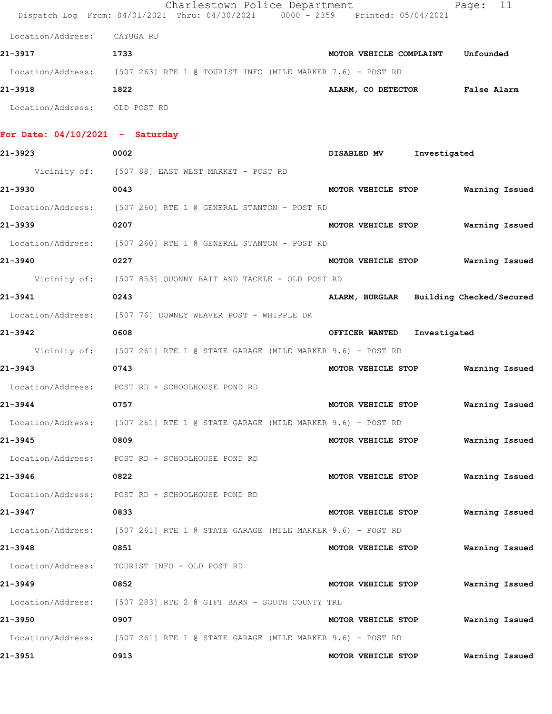|                                   | Charlestown Police Department<br>Dispatch Log From: 04/01/2021 Thru: 04/30/2021 0000 - 2359 Printed: 05/04/2021 |                                         | Page: 11              |
|-----------------------------------|-----------------------------------------------------------------------------------------------------------------|-----------------------------------------|-----------------------|
| Location/Address:                 | CAYUGA RD                                                                                                       |                                         |                       |
| 21-3917                           | 1733                                                                                                            | MOTOR VEHICLE COMPLAINT Unfounded       |                       |
|                                   | Location/Address: [507 263] RTE 1 @ TOURIST INFO (MILE MARKER 7.6) - POST RD                                    |                                         |                       |
| 21-3918                           | 1822                                                                                                            | ALARM, CO DETECTOR False Alarm          |                       |
| Location/Address: OLD POST RD     |                                                                                                                 |                                         |                       |
| For Date: $04/10/2021$ - Saturday |                                                                                                                 |                                         |                       |
| 21-3923                           | 0002                                                                                                            | Investigated<br>DISABLED MV             |                       |
|                                   | Vicinity of: [507 88] EAST WEST MARKET - POST RD                                                                |                                         |                       |
| 21-3930                           | 0043                                                                                                            | MOTOR VEHICLE STOP                      | <b>Warning Issued</b> |
|                                   | Location/Address: [507 260] RTE 1 @ GENERAL STANTON - POST RD                                                   |                                         |                       |
| 21-3939                           | 0207                                                                                                            | MOTOR VEHICLE STOP Warning Issued       |                       |
|                                   | Location/Address: [507 260] RTE 1 @ GENERAL STANTON - POST RD                                                   |                                         |                       |
| 21-3940                           | 0227                                                                                                            | MOTOR VEHICLE STOP Warning Issued       |                       |
|                                   | Vicinity of: [507 853] QUONNY BAIT AND TACKLE - OLD POST RD                                                     |                                         |                       |
| 21-3941                           | 0243                                                                                                            | ALARM, BURGLAR Building Checked/Secured |                       |
|                                   | Location/Address: [507 76] DOWNEY WEAVER POST - WHIPPLE DR                                                      |                                         |                       |
| 21-3942                           | 0608                                                                                                            | OFFICER WANTED<br>Investigated          |                       |
|                                   | Vicinity of: [507 261] RTE 1 @ STATE GARAGE (MILE MARKER 9.6) - POST RD                                         |                                         |                       |
| 21-3943                           | 0743                                                                                                            | MOTOR VEHICLE STOP Warning Issued       |                       |
|                                   | Location/Address: POST RD + SCHOOLHOUSE POND RD                                                                 |                                         |                       |
| 21-3944                           | 0757                                                                                                            | MOTOR VEHICLE STOP Warning Issued       |                       |
|                                   | Location/Address: [507 261] RTE 1 @ STATE GARAGE (MILE MARKER 9.6) - POST RD                                    |                                         |                       |
| 21-3945                           | 0809                                                                                                            | MOTOR VEHICLE STOP                      | Warning Issued        |
|                                   | Location/Address: POST RD + SCHOOLHOUSE POND RD                                                                 |                                         |                       |
| 21-3946                           | 0822                                                                                                            | MOTOR VEHICLE STOP                      | Warning Issued        |
|                                   | Location/Address: POST RD + SCHOOLHOUSE POND RD                                                                 |                                         |                       |
| 21-3947                           | 0833                                                                                                            | MOTOR VEHICLE STOP                      | Warning Issued        |
|                                   | Location/Address: [507 261] RTE 1 @ STATE GARAGE (MILE MARKER 9.6) - POST RD                                    |                                         |                       |
| 21-3948                           | 0851                                                                                                            | MOTOR VEHICLE STOP                      | Warning Issued        |
| Location/Address:                 | TOURIST INFO - OLD POST RD                                                                                      |                                         |                       |
| 21-3949                           | 0852                                                                                                            | MOTOR VEHICLE STOP                      | Warning Issued        |
|                                   | Location/Address: [507 283] RTE 2 @ GIFT BARN - SOUTH COUNTY TRL                                                |                                         |                       |
| 21-3950                           | 0907                                                                                                            | MOTOR VEHICLE STOP                      | Warning Issued        |
|                                   | Location/Address: [507 261] RTE 1 @ STATE GARAGE (MILE MARKER 9.6) - POST RD                                    |                                         |                       |
| 21-3951                           | 0913                                                                                                            | MOTOR VEHICLE STOP                      | Warning Issued        |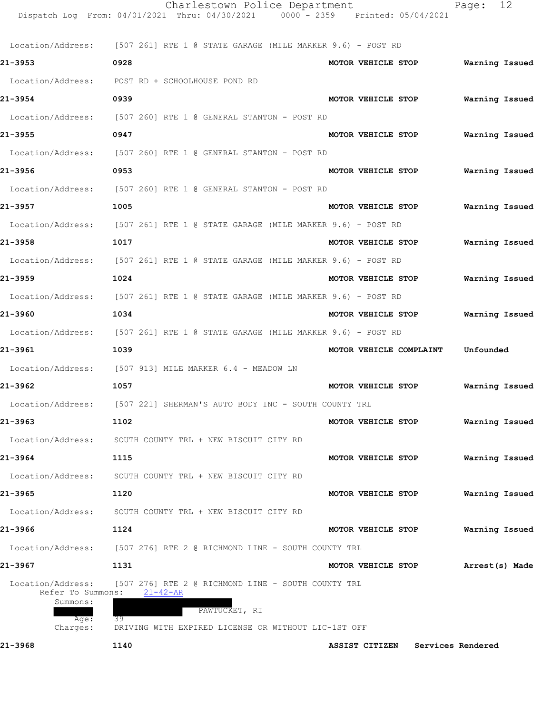|                                                            | Charlestown Police Department<br>Dispatch Log From: 04/01/2021 Thru: 04/30/2021 0000 - 2359 Printed: 05/04/2021 |                         | Page: 12          |
|------------------------------------------------------------|-----------------------------------------------------------------------------------------------------------------|-------------------------|-------------------|
|                                                            |                                                                                                                 |                         |                   |
|                                                            | Location/Address: [507 261] RTE 1 @ STATE GARAGE (MILE MARKER 9.6) - POST RD                                    |                         |                   |
| 21-3953                                                    | 0928                                                                                                            | MOTOR VEHICLE STOP      | Warning Issued    |
|                                                            | Location/Address: POST RD + SCHOOLHOUSE POND RD                                                                 |                         |                   |
| 21-3954                                                    | 0939                                                                                                            | MOTOR VEHICLE STOP      | Warning Issued    |
|                                                            | Location/Address: [507 260] RTE 1 @ GENERAL STANTON - POST RD                                                   |                         |                   |
| 21-3955                                                    | 0947                                                                                                            | MOTOR VEHICLE STOP      | Warning Issued    |
|                                                            | Location/Address: [507 260] RTE 1 @ GENERAL STANTON - POST RD                                                   |                         |                   |
| 21-3956                                                    | 0953                                                                                                            | MOTOR VEHICLE STOP      | Warning Issued    |
|                                                            | Location/Address: [507 260] RTE 1 @ GENERAL STANTON - POST RD                                                   |                         |                   |
| 21-3957                                                    | 1005                                                                                                            | MOTOR VEHICLE STOP      | Warning Issued    |
|                                                            | Location/Address: [507 261] RTE 1 @ STATE GARAGE (MILE MARKER 9.6) - POST RD                                    |                         |                   |
| 21-3958                                                    | 1017                                                                                                            | MOTOR VEHICLE STOP      | Warning Issued    |
|                                                            | Location/Address: [507 261] RTE 1 @ STATE GARAGE (MILE MARKER 9.6) - POST RD                                    |                         |                   |
| 21-3959                                                    | 1024                                                                                                            | MOTOR VEHICLE STOP      | Warning Issued    |
|                                                            | Location/Address: [507 261] RTE 1 @ STATE GARAGE (MILE MARKER 9.6) - POST RD                                    |                         |                   |
| 21-3960                                                    | 1034                                                                                                            | MOTOR VEHICLE STOP      | Warning Issued    |
|                                                            | Location/Address: [507 261] RTE 1 @ STATE GARAGE (MILE MARKER 9.6) - POST RD                                    |                         |                   |
| 21-3961                                                    | 1039                                                                                                            | MOTOR VEHICLE COMPLAINT | Unfounded         |
|                                                            | Location/Address: [507 913] MILE MARKER 6.4 - MEADOW LN                                                         |                         |                   |
| 21-3962                                                    | 1057                                                                                                            | MOTOR VEHICLE STOP      | Warning Issued    |
|                                                            | Location/Address: [507 221] SHERMAN'S AUTO BODY INC - SOUTH COUNTY TRL                                          |                         |                   |
| 21-3963                                                    | 1102                                                                                                            | MOTOR VEHICLE STOP      | Warning Issued    |
| Location/Address:                                          | SOUTH COUNTY TRL + NEW BISCUIT CITY RD                                                                          |                         |                   |
| 21-3964                                                    | 1115                                                                                                            | MOTOR VEHICLE STOP      | Warning Issued    |
|                                                            | Location/Address: SOUTH COUNTY TRL + NEW BISCUIT CITY RD                                                        |                         |                   |
| 21-3965                                                    | 1120                                                                                                            | MOTOR VEHICLE STOP      | Warning Issued    |
| Location/Address:                                          | SOUTH COUNTY TRL + NEW BISCUIT CITY RD                                                                          |                         |                   |
| 21-3966                                                    | 1124                                                                                                            | MOTOR VEHICLE STOP      | Warning Issued    |
| Location/Address:                                          | [507 276] RTE 2 @ RICHMOND LINE - SOUTH COUNTY TRL                                                              |                         |                   |
| 21-3967                                                    | 1131                                                                                                            | MOTOR VEHICLE STOP      | Arrest(s) Made    |
| Location/Address:<br>Refer To Summons:<br>Summons:<br>Age: | [507 276] RTE 2 @ RICHMOND LINE - SOUTH COUNTY TRL<br>$21 - 42 - AR$<br>PAWTUCKET, RI<br>39                     |                         |                   |
| Charges:                                                   | DRIVING WITH EXPIRED LICENSE OR WITHOUT LIC-1ST OFF                                                             |                         |                   |
| 21-3968                                                    | 1140                                                                                                            | ASSIST CITIZEN          | Services Rendered |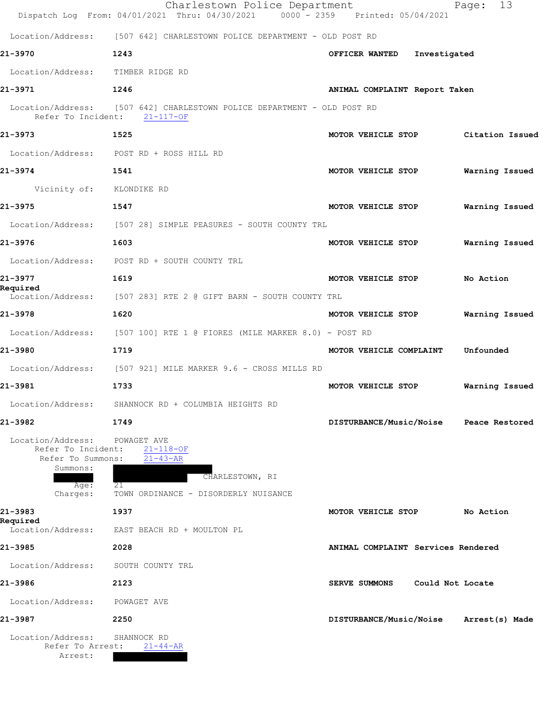|                                                                                              | Charlestown Police Department<br>Dispatch Log From: 04/01/2021 Thru: 04/30/2021 0000 - 2359 Printed: 05/04/2021   |                                    | Page: 13       |
|----------------------------------------------------------------------------------------------|-------------------------------------------------------------------------------------------------------------------|------------------------------------|----------------|
|                                                                                              | Location/Address: [507 642] CHARLESTOWN POLICE DEPARTMENT - OLD POST RD                                           |                                    |                |
| 21-3970                                                                                      | 1243                                                                                                              | OFFICER WANTED<br>Investigated     |                |
| Location/Address: TIMBER RIDGE RD                                                            |                                                                                                                   |                                    |                |
| 21-3971                                                                                      | 1246                                                                                                              | ANIMAL COMPLAINT Report Taken      |                |
|                                                                                              | Location/Address: [507 642] CHARLESTOWN POLICE DEPARTMENT - OLD POST RD<br>Refer To Incident: 21-117-OF           |                                    |                |
| 21-3973                                                                                      | 1525                                                                                                              | MOTOR VEHICLE STOP Citation Issued |                |
|                                                                                              | Location/Address: POST RD + ROSS HILL RD                                                                          |                                    |                |
| 21-3974                                                                                      | 1541                                                                                                              | MOTOR VEHICLE STOP                 | Warning Issued |
| Vicinity of: KLONDIKE RD                                                                     |                                                                                                                   |                                    |                |
| 21-3975                                                                                      | 1547                                                                                                              | MOTOR VEHICLE STOP                 | Warning Issued |
|                                                                                              | Location/Address: [507 28] SIMPLE PEASURES - SOUTH COUNTY TRL                                                     |                                    |                |
| 21-3976                                                                                      | 1603                                                                                                              | MOTOR VEHICLE STOP                 | Warning Issued |
|                                                                                              | Location/Address: POST RD + SOUTH COUNTY TRL                                                                      |                                    |                |
| 21-3977<br>Required                                                                          | 1619                                                                                                              | MOTOR VEHICLE STOP                 | No Action      |
|                                                                                              | Location/Address: [507 283] RTE 2 @ GIFT BARN - SOUTH COUNTY TRL                                                  |                                    |                |
| 21-3978                                                                                      | 1620                                                                                                              | MOTOR VEHICLE STOP                 | Warning Issued |
|                                                                                              | Location/Address: [507 100] RTE 1 @ FIORES (MILE MARKER 8.0) - POST RD                                            |                                    |                |
| 21-3980                                                                                      | 1719                                                                                                              | MOTOR VEHICLE COMPLAINT            | Unfounded      |
|                                                                                              | Location/Address: [507 921] MILE MARKER 9.6 - CROSS MILLS RD                                                      |                                    |                |
| 21-3981                                                                                      | 1733                                                                                                              | MOTOR VEHICLE STOP                 | Warning Issued |
|                                                                                              | Location/Address: SHANNOCK RD + COLUMBIA HEIGHTS RD                                                               |                                    |                |
| 21-3982                                                                                      | 1749                                                                                                              | DISTURBANCE/Music/Noise            | Peace Restored |
| Location/Address:<br>Refer To Incident:<br>Refer To Summons:<br>Summons:<br>Age:<br>Charges: | POWAGET AVE<br>$21 - 118 - OF$<br>$21 - 43 - AR$<br>CHARLESTOWN, RI<br>21<br>TOWN ORDINANCE - DISORDERLY NUISANCE |                                    |                |
| 21-3983<br>Required                                                                          | 1937                                                                                                              | MOTOR VEHICLE STOP                 | No Action      |
| Location/Address:                                                                            | EAST BEACH RD + MOULTON PL                                                                                        |                                    |                |
| 21-3985                                                                                      | 2028                                                                                                              | ANIMAL COMPLAINT Services Rendered |                |
| Location/Address:                                                                            | SOUTH COUNTY TRL                                                                                                  |                                    |                |
| 21-3986                                                                                      | 2123                                                                                                              | SERVE SUMMONS<br>Could Not Locate  |                |
| Location/Address:                                                                            | POWAGET AVE                                                                                                       |                                    |                |
| 21-3987                                                                                      | 2250                                                                                                              | DISTURBANCE/Music/Noise            | Arrest(s) Made |
| Location/Address:<br>Refer To Arrest:                                                        | SHANNOCK RD<br>$21 - 44 - AR$                                                                                     |                                    |                |
| Arrest:                                                                                      |                                                                                                                   |                                    |                |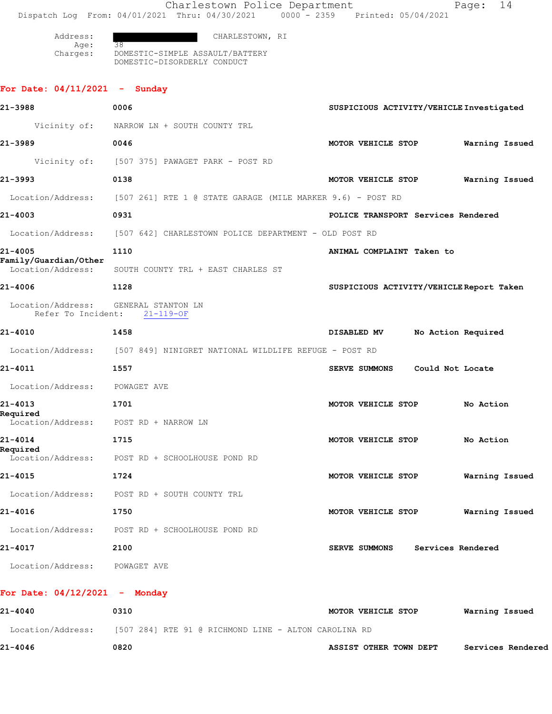Charlestown Police Department Page: 14 Dispatch Log From: 04/01/2021 Thru: 04/30/2021 0000 - 2359 Printed: 05/04/2021 Address: CHARLESTOWN, RI Age: Charges: DOMESTIC-SIMPLE ASSAULT/BATTERY DOMESTIC-DISORDERLY CONDUCT **For Date: 04/11/2021 - Sunday 21-3988 0006 SUSPICIOUS ACTIVITY/VEHICLE Investigated** Vicinity of: NARROW LN + SOUTH COUNTY TRL **21-3989 0046 MOTOR VEHICLE STOP Warning Issued** Vicinity of: [507 375] PAWAGET PARK - POST RD **21-3993 0138 MOTOR VEHICLE STOP Warning Issued** Location/Address: [507 261] RTE 1 @ STATE GARAGE (MILE MARKER 9.6) - POST RD **21-4003 0931 POLICE TRANSPORT Services Rendered** Location/Address: [507 642] CHARLESTOWN POLICE DEPARTMENT - OLD POST RD **21-4005 1110 ANIMAL COMPLAINT Taken to Family/Guardian/Other**  Location/Address: SOUTH COUNTY TRL + EAST CHARLES ST **21-4006 1128 SUSPICIOUS ACTIVITY/VEHICLE Report Taken** Location/Address: GENERAL STANTON LN Refer To Incident: 21-119-OF **21-4010 1458 DISABLED MV No Action Required** Location/Address: [507 849] NINIGRET NATIONAL WILDLIFE REFUGE - POST RD **21-4011 1557 SERVE SUMMONS Could Not Locate** Location/Address: POWAGET AVE **21-4013 1701 MOTOR VEHICLE STOP No Action Required**  Location/Address: POST RD + NARROW LN **21-4014 1715 MOTOR VEHICLE STOP No Action Required**  Location/Address: POST RD + SCHOOLHOUSE POND RD **21-4015 1724 MOTOR VEHICLE STOP Warning Issued** Location/Address: POST RD + SOUTH COUNTY TRL **21-4016 1750 MOTOR VEHICLE STOP Warning Issued** Location/Address: POST RD + SCHOOLHOUSE POND RD **21-4017 2100 SERVE SUMMONS Services Rendered** Location/Address: POWAGET AVE **For Date: 04/12/2021 - Monday**

**21-4040 0310 MOTOR VEHICLE STOP Warning Issued** Location/Address: [507 284] RTE 91 @ RICHMOND LINE - ALTON CAROLINA RD **21-4046 0820 ASSIST OTHER TOWN DEPT Services Rendered**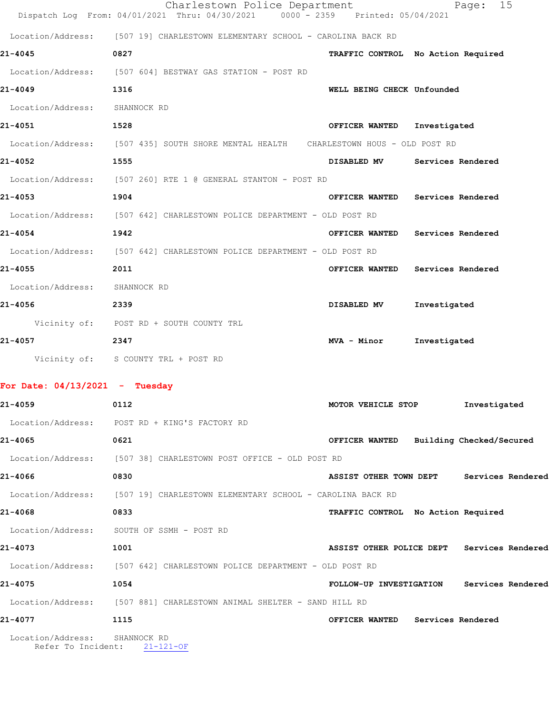|                                         | Charlestown Police Department<br>Dispatch Log From: 04/01/2021 Thru: 04/30/2021 0000 - 2359 Printed: 05/04/2021 |                                    |                   | 15<br>Page:                                |
|-----------------------------------------|-----------------------------------------------------------------------------------------------------------------|------------------------------------|-------------------|--------------------------------------------|
|                                         |                                                                                                                 |                                    |                   |                                            |
|                                         | Location/Address: [507 19] CHARLESTOWN ELEMENTARY SCHOOL - CAROLINA BACK RD                                     |                                    |                   |                                            |
| 21-4045                                 | 0827                                                                                                            | TRAFFIC CONTROL No Action Required |                   |                                            |
| 21-4049                                 | Location/Address: [507 604] BESTWAY GAS STATION - POST RD<br>1316                                               | WELL BEING CHECK Unfounded         |                   |                                            |
| Location/Address: SHANNOCK RD           |                                                                                                                 |                                    |                   |                                            |
| 21-4051                                 | 1528                                                                                                            |                                    | Investigated      |                                            |
|                                         | Location/Address: [507 435] SOUTH SHORE MENTAL HEALTH CHARLESTOWN HOUS - OLD POST RD                            | OFFICER WANTED                     |                   |                                            |
| 21-4052                                 | 1555                                                                                                            | DISABLED MV Services Rendered      |                   |                                            |
|                                         |                                                                                                                 |                                    |                   |                                            |
| 21-4053                                 | Location/Address: [507 260] RTE 1 @ GENERAL STANTON - POST RD                                                   |                                    |                   |                                            |
|                                         | 1904                                                                                                            | OFFICER WANTED                     | Services Rendered |                                            |
|                                         | Location/Address: [507 642] CHARLESTOWN POLICE DEPARTMENT - OLD POST RD                                         |                                    |                   |                                            |
| 21-4054                                 | 1942                                                                                                            | OFFICER WANTED                     | Services Rendered |                                            |
|                                         | Location/Address: [507 642] CHARLESTOWN POLICE DEPARTMENT - OLD POST RD                                         |                                    |                   |                                            |
| 21-4055                                 | 2011                                                                                                            | OFFICER WANTED                     | Services Rendered |                                            |
| Location/Address: SHANNOCK RD           |                                                                                                                 |                                    |                   |                                            |
| 21-4056                                 | 2339                                                                                                            | DISABLED MV                        | Investigated      |                                            |
|                                         | Vicinity of: POST RD + SOUTH COUNTY TRL                                                                         |                                    |                   |                                            |
| 21-4057                                 | 2347                                                                                                            | MVA - Minor                        | Investigated      |                                            |
|                                         | Vicinity of: S COUNTY TRL + POST RD                                                                             |                                    |                   |                                            |
| For Date: $04/13/2021$ - Tuesday        |                                                                                                                 |                                    |                   |                                            |
| 21-4059                                 | 0112                                                                                                            | MOTOR VEHICLE STOP                 |                   | Investigated                               |
|                                         | Location/Address: POST RD + KING'S FACTORY RD                                                                   |                                    |                   |                                            |
| 21-4065                                 | 0621                                                                                                            |                                    |                   | OFFICER WANTED Building Checked/Secured    |
|                                         | Location/Address: [507 38] CHARLESTOWN POST OFFICE - OLD POST RD                                                |                                    |                   |                                            |
| 21-4066                                 | 0830                                                                                                            |                                    |                   | ASSIST OTHER TOWN DEPT Services Rendered   |
|                                         | Location/Address: [507 19] CHARLESTOWN ELEMENTARY SCHOOL - CAROLINA BACK RD                                     |                                    |                   |                                            |
| 21-4068                                 | 0833                                                                                                            | TRAFFIC CONTROL No Action Required |                   |                                            |
|                                         | Location/Address: SOUTH OF SSMH - POST RD                                                                       |                                    |                   |                                            |
| 21-4073                                 | 1001                                                                                                            |                                    |                   | ASSIST OTHER POLICE DEPT Services Rendered |
|                                         | Location/Address: [507 642] CHARLESTOWN POLICE DEPARTMENT - OLD POST RD                                         |                                    |                   |                                            |
| 21-4075                                 | 1054                                                                                                            |                                    |                   | FOLLOW-UP INVESTIGATION Services Rendered  |
|                                         | Location/Address: [507 881] CHARLESTOWN ANIMAL SHELTER - SAND HILL RD                                           |                                    |                   |                                            |
| 21-4077                                 | 1115                                                                                                            | OFFICER WANTED Services Rendered   |                   |                                            |
| Location/Address:<br>Refer To Incident: | SHANNOCK RD<br>$21 - 121 - OF$                                                                                  |                                    |                   |                                            |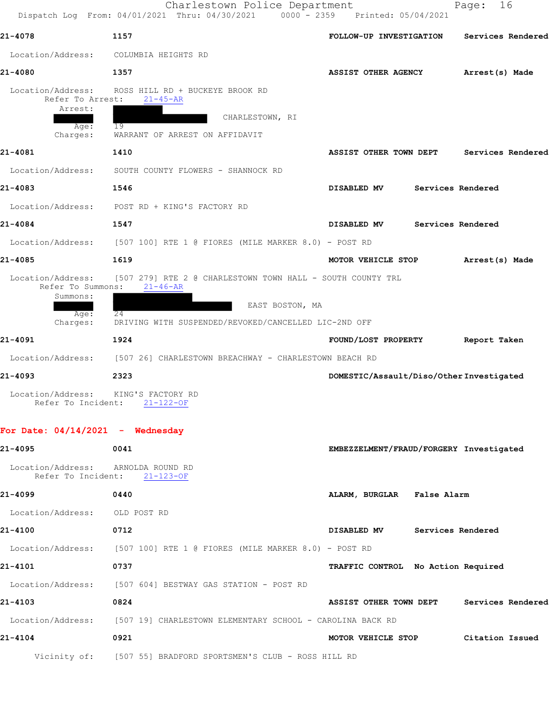Charlestown Police Department Page: 16 Dispatch Log From: 04/01/2021 Thru: 04/30/2021 0000 - 2359 Printed: 05/04/2021 **21-4078 1157 FOLLOW-UP INVESTIGATION Services Rendered** Location/Address: COLUMBIA HEIGHTS RD **21-4080 1357 ASSIST OTHER AGENCY Arrest(s) Made** Location/Address: ROSS HILL RD + BUCKEYE BROOK RD<br>Refer To Arrest: 21-45-AR Refer To Arrest: Arrest: CHARLESTOWN, RI Age: 19 Charges: WARRANT OF ARREST ON AFFIDAVIT **21-4081 1410 ASSIST OTHER TOWN DEPT Services Rendered** Location/Address: SOUTH COUNTY FLOWERS - SHANNOCK RD **21-4083 1546 DISABLED MV Services Rendered** Location/Address: POST RD + KING'S FACTORY RD **21-4084 1547 DISABLED MV Services Rendered** Location/Address: [507 100] RTE 1 @ FIORES (MILE MARKER 8.0) - POST RD **21-4085 1619 MOTOR VEHICLE STOP Arrest(s) Made** Location/Address: [507 279] RTE 2 @ CHARLESTOWN TOWN HALL - SOUTH COUNTY TRL Refer To Summons: 21-46-AR Summons: EAST BOSTON, MA Age: 24 Charges: DRIVING WITH SUSPENDED/REVOKED/CANCELLED LIC-2ND OFF **21-4091 1924 FOUND/LOST PROPERTY Report Taken** Location/Address: [507 26] CHARLESTOWN BREACHWAY - CHARLESTOWN BEACH RD **21-4093 2323 DOMESTIC/Assault/Diso/Other Investigated** Location/Address: KING'S FACTORY RD<br>Refer To Incident: 21-122-OF Refer To Incident: **For Date: 04/14/2021 - Wednesday**

**21-4095 0041 EMBEZZELMENT/FRAUD/FORGERY Investigated** Location/Address: ARNOLDA ROUND RD<br>Refer To Incident: 21-123-OF Refer To Incident: **21-4099 0440 ALARM, BURGLAR False Alarm** Location/Address: OLD POST RD **21-4100 0712 DISABLED MV Services Rendered** Location/Address: [507 100] RTE 1 @ FIORES (MILE MARKER 8.0) - POST RD **21-4101 0737 TRAFFIC CONTROL No Action Required** Location/Address: [507 604] BESTWAY GAS STATION - POST RD **21-4103 0824 ASSIST OTHER TOWN DEPT Services Rendered** Location/Address: [507 19] CHARLESTOWN ELEMENTARY SCHOOL - CAROLINA BACK RD **21-4104 0921 MOTOR VEHICLE STOP Citation Issued** Vicinity of: [507 55] BRADFORD SPORTSMEN'S CLUB - ROSS HILL RD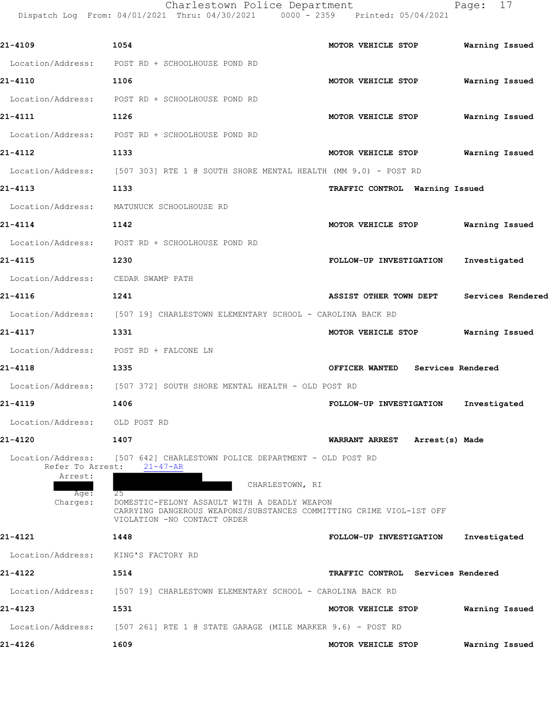|                                                                      | Charlestown Police Department<br>Dispatch Log From: 04/01/2021 Thru: 04/30/2021 0000 - 2359 Printed: 05/04/2021                                                                                                                                        |                                         | Page: 17          |
|----------------------------------------------------------------------|--------------------------------------------------------------------------------------------------------------------------------------------------------------------------------------------------------------------------------------------------------|-----------------------------------------|-------------------|
| 21-4109                                                              | 1054                                                                                                                                                                                                                                                   | MOTOR VEHICLE STOP                      | Warning Issued    |
|                                                                      | Location/Address: POST RD + SCHOOLHOUSE POND RD                                                                                                                                                                                                        |                                         |                   |
| 21-4110                                                              | 1106                                                                                                                                                                                                                                                   | MOTOR VEHICLE STOP                      | Warning Issued    |
|                                                                      | Location/Address: POST RD + SCHOOLHOUSE POND RD                                                                                                                                                                                                        |                                         |                   |
| 21-4111                                                              | 1126                                                                                                                                                                                                                                                   | MOTOR VEHICLE STOP                      | Warning Issued    |
|                                                                      | Location/Address: POST RD + SCHOOLHOUSE POND RD                                                                                                                                                                                                        |                                         |                   |
| 21-4112                                                              | 1133                                                                                                                                                                                                                                                   | MOTOR VEHICLE STOP                      | Warning Issued    |
|                                                                      | Location/Address: [507 303] RTE 1 @ SOUTH SHORE MENTAL HEALTH (MM 9.0) - POST RD                                                                                                                                                                       |                                         |                   |
| 21-4113                                                              | 1133                                                                                                                                                                                                                                                   | TRAFFIC CONTROL Warning Issued          |                   |
|                                                                      | Location/Address: MATUNUCK SCHOOLHOUSE RD                                                                                                                                                                                                              |                                         |                   |
| 21-4114                                                              | 1142                                                                                                                                                                                                                                                   | MOTOR VEHICLE STOP                      | Warning Issued    |
|                                                                      | Location/Address: POST RD + SCHOOLHOUSE POND RD                                                                                                                                                                                                        |                                         |                   |
| 21-4115                                                              | 1230                                                                                                                                                                                                                                                   | FOLLOW-UP INVESTIGATION                 | Investigated      |
| Location/Address:                                                    | CEDAR SWAMP PATH                                                                                                                                                                                                                                       |                                         |                   |
| 21-4116                                                              | 1241                                                                                                                                                                                                                                                   | <b>ASSIST OTHER TOWN DEPT</b>           | Services Rendered |
|                                                                      | Location/Address: [507 19] CHARLESTOWN ELEMENTARY SCHOOL - CAROLINA BACK RD                                                                                                                                                                            |                                         |                   |
| 21-4117                                                              | 1331                                                                                                                                                                                                                                                   | MOTOR VEHICLE STOP                      | Warning Issued    |
|                                                                      | Location/Address: POST RD + FALCONE LN                                                                                                                                                                                                                 |                                         |                   |
| 21-4118                                                              | 1335                                                                                                                                                                                                                                                   | OFFICER WANTED Services Rendered        |                   |
|                                                                      | Location/Address: [507 372] SOUTH SHORE MENTAL HEALTH - OLD POST RD                                                                                                                                                                                    |                                         |                   |
| 21–4119                                                              | 1406                                                                                                                                                                                                                                                   | FOLLOW-UP INVESTIGATION Investigated    |                   |
| Location/Address: OLD POST RD                                        |                                                                                                                                                                                                                                                        |                                         |                   |
| 21-4120                                                              | 1407                                                                                                                                                                                                                                                   | <b>WARRANT ARREST</b><br>Arrest(s) Made |                   |
| Location/Address:<br>Refer To Arrest:<br>Arrest:<br>Age:<br>Charges: | [507 642] CHARLESTOWN POLICE DEPARTMENT - OLD POST RD<br>$21 - 47 - AR$<br>CHARLESTOWN, RI<br>25<br>DOMESTIC-FELONY ASSAULT WITH A DEADLY WEAPON<br>CARRYING DANGEROUS WEAPONS/SUBSTANCES COMMITTING CRIME VIOL-1ST OFF<br>VIOLATION -NO CONTACT ORDER |                                         |                   |
| 21-4121                                                              | 1448                                                                                                                                                                                                                                                   | FOLLOW-UP INVESTIGATION                 | Investigated      |
| Location/Address:                                                    | KING'S FACTORY RD                                                                                                                                                                                                                                      |                                         |                   |

**21-4122 1514 TRAFFIC CONTROL Services Rendered** Location/Address: [507 19] CHARLESTOWN ELEMENTARY SCHOOL - CAROLINA BACK RD **21-4123 1531 MOTOR VEHICLE STOP Warning Issued** Location/Address: [507 261] RTE 1 @ STATE GARAGE (MILE MARKER 9.6) - POST RD

**21-4126 1609 MOTOR VEHICLE STOP Warning Issued**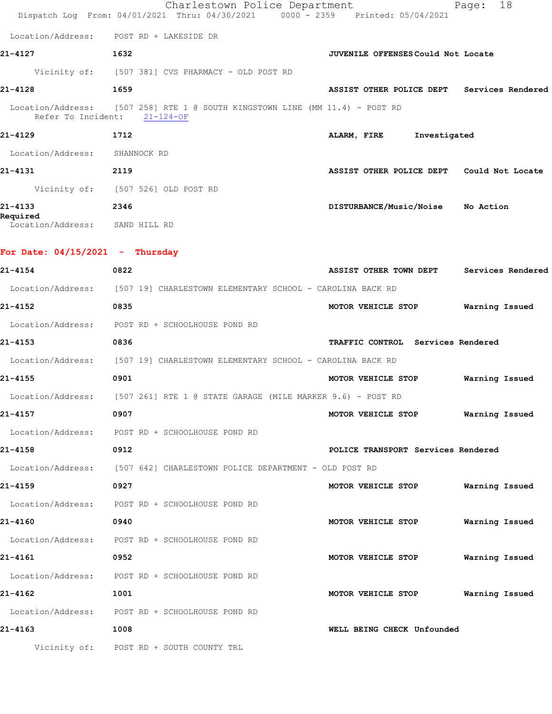|                                            | Charlestown Police Department<br>Dispatch Log From: 04/01/2021 Thru: 04/30/2021 0000 - 2359 Printed: 05/04/2021 |                                            | 18<br>Page:       |
|--------------------------------------------|-----------------------------------------------------------------------------------------------------------------|--------------------------------------------|-------------------|
|                                            | Location/Address: POST RD + LAKESIDE DR                                                                         |                                            |                   |
| 21-4127                                    | 1632                                                                                                            | <b>JUVENILE OFFENSES Could Not Locate</b>  |                   |
|                                            | Vicinity of: [507 381] CVS PHARMACY - OLD POST RD                                                               |                                            |                   |
| 21-4128                                    | 1659                                                                                                            | ASSIST OTHER POLICE DEPT Services Rendered |                   |
| Refer To Incident:                         | Location/Address: [507 258] RTE 1 @ SOUTH KINGSTOWN LINE (MM 11.4) - POST RD<br>$21 - 124 - OF$                 |                                            |                   |
| 21-4129                                    | 1712                                                                                                            | ALARM, FIRE<br>Investigated                |                   |
| Location/Address: SHANNOCK RD              |                                                                                                                 |                                            |                   |
| 21-4131                                    | 2119                                                                                                            | ASSIST OTHER POLICE DEPT Could Not Locate  |                   |
|                                            | Vicinity of: [507 526] OLD POST RD                                                                              |                                            |                   |
| 21-4133                                    | 2346                                                                                                            | DISTURBANCE/Music/Noise No Action          |                   |
| Required<br>Location/Address: SAND HILL RD |                                                                                                                 |                                            |                   |
| For Date: 04/15/2021 - Thursday            |                                                                                                                 |                                            |                   |
| 21-4154                                    | 0822                                                                                                            | ASSIST OTHER TOWN DEPT                     | Services Rendered |
|                                            | Location/Address: [507 19] CHARLESTOWN ELEMENTARY SCHOOL - CAROLINA BACK RD                                     |                                            |                   |
| 21-4152                                    | 0835                                                                                                            | MOTOR VEHICLE STOP                         | Warning Issued    |
|                                            | Location/Address: POST RD + SCHOOLHOUSE POND RD                                                                 |                                            |                   |
| 21-4153                                    | 0836                                                                                                            | TRAFFIC CONTROL Services Rendered          |                   |
|                                            | Location/Address: [507 19] CHARLESTOWN ELEMENTARY SCHOOL - CAROLINA BACK RD                                     |                                            |                   |
| 21-4155                                    | 0901                                                                                                            | MOTOR VEHICLE STOP                         | Warning Issued    |
|                                            | Location/Address: [507 261] RTE 1 @ STATE GARAGE (MILE MARKER 9.6) - POST RD                                    |                                            |                   |
| 21-4157                                    | 0907                                                                                                            | MOTOR VEHICLE STOP                         | Warning Issued    |
|                                            | Location/Address: POST RD + SCHOOLHOUSE POND RD                                                                 |                                            |                   |
| 21-4158                                    | 0912                                                                                                            | POLICE TRANSPORT Services Rendered         |                   |
|                                            | Location/Address: [507 642] CHARLESTOWN POLICE DEPARTMENT - OLD POST RD                                         |                                            |                   |
| 21-4159                                    | 0927                                                                                                            | MOTOR VEHICLE STOP                         | Warning Issued    |
|                                            | Location/Address: POST RD + SCHOOLHOUSE POND RD                                                                 |                                            |                   |
| 21-4160                                    | 0940                                                                                                            | MOTOR VEHICLE STOP                         | Warning Issued    |
|                                            | Location/Address: POST RD + SCHOOLHOUSE POND RD                                                                 |                                            |                   |
| 21-4161                                    | 0952                                                                                                            | MOTOR VEHICLE STOP                         | Warning Issued    |
|                                            | Location/Address: POST RD + SCHOOLHOUSE POND RD                                                                 |                                            |                   |
| 21-4162                                    | 1001                                                                                                            | MOTOR VEHICLE STOP                         | Warning Issued    |
|                                            | Location/Address: POST RD + SCHOOLHOUSE POND RD                                                                 |                                            |                   |
|                                            |                                                                                                                 |                                            |                   |

**21-4163 1008 WELL BEING CHECK Unfounded** 

Vicinity of: POST RD + SOUTH COUNTY TRL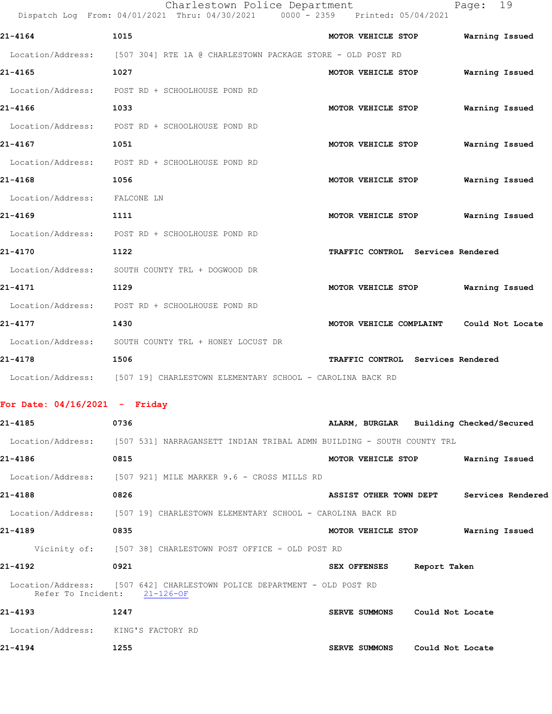|                                     | Charlestown Police Department<br>Dispatch Log From: 04/01/2021 Thru: 04/30/2021 0000 - 2359 Printed: 05/04/2021 |                                          | 19<br>Page:    |
|-------------------------------------|-----------------------------------------------------------------------------------------------------------------|------------------------------------------|----------------|
| 21-4164                             | 1015                                                                                                            | MOTOR VEHICLE STOP                       | Warning Issued |
|                                     | Location/Address: [507 304] RTE 1A @ CHARLESTOWN PACKAGE STORE - OLD POST RD                                    |                                          |                |
| 21-4165                             | 1027                                                                                                            | MOTOR VEHICLE STOP                       | Warning Issued |
|                                     | Location/Address: POST RD + SCHOOLHOUSE POND RD                                                                 |                                          |                |
| 21-4166                             | 1033                                                                                                            | MOTOR VEHICLE STOP                       | Warning Issued |
|                                     | Location/Address: POST RD + SCHOOLHOUSE POND RD                                                                 |                                          |                |
| 21-4167                             | 1051                                                                                                            | MOTOR VEHICLE STOP                       | Warning Issued |
| Location/Address:                   | POST RD + SCHOOLHOUSE POND RD                                                                                   |                                          |                |
| 21-4168                             | 1056                                                                                                            | MOTOR VEHICLE STOP                       | Warning Issued |
| Location/Address: FALCONE LN        |                                                                                                                 |                                          |                |
| 21-4169                             | 1111                                                                                                            | MOTOR VEHICLE STOP                       | Warning Issued |
|                                     | Location/Address: POST RD + SCHOOLHOUSE POND RD                                                                 |                                          |                |
| 21-4170                             | 1122                                                                                                            | TRAFFIC CONTROL Services Rendered        |                |
| Location/Address:                   | SOUTH COUNTY TRL + DOGWOOD DR                                                                                   |                                          |                |
| 21-4171                             | 1129                                                                                                            | MOTOR VEHICLE STOP                       | Warning Issued |
|                                     | Location/Address: POST RD + SCHOOLHOUSE POND RD                                                                 |                                          |                |
| 21-4177                             | 1430                                                                                                            | MOTOR VEHICLE COMPLAINT Could Not Locate |                |
|                                     | Location/Address: SOUTH COUNTY TRL + HONEY LOCUST DR                                                            |                                          |                |
| 21-4178                             | 1506                                                                                                            | TRAFFIC CONTROL Services Rendered        |                |
|                                     | Location/Address: [507 19] CHARLESTOWN ELEMENTARY SCHOOL - CAROLINA BACK RD                                     |                                          |                |
| For Date: $04/16/2021$ - Friday     |                                                                                                                 |                                          |                |
| 21-4185                             | 0736                                                                                                            | ALARM, BURGLAR Building Checked/Secured  |                |
|                                     | Location/Address: [507 531] NARRAGANSETT INDIAN TRIBAL ADMN BUILDING - SOUTH COUNTY TRL                         |                                          |                |
| 21-4186                             | 0815                                                                                                            | MOTOR VEHICLE STOP                       | Warning Issued |
|                                     | Location/Address: [507 921] MILE MARKER 9.6 - CROSS MILLS RD                                                    |                                          |                |
| 21-4188                             | 0826                                                                                                            | ASSIST OTHER TOWN DEPT Services Rendered |                |
|                                     | Location/Address: [507 19] CHARLESTOWN ELEMENTARY SCHOOL - CAROLINA BACK RD                                     |                                          |                |
| 21-4189                             | 0835                                                                                                            | MOTOR VEHICLE STOP Warning Issued        |                |
|                                     | Vicinity of: [507 38] CHARLESTOWN POST OFFICE - OLD POST RD                                                     |                                          |                |
| 21-4192                             | 0921                                                                                                            | SEX OFFENSES Report Taken                |                |
|                                     | Location/Address: [507 642] CHARLESTOWN POLICE DEPARTMENT - OLD POST RD<br>Refer To Incident: 21-126-OF         |                                          |                |
| 21-4193                             | 1247                                                                                                            | SERVE SUMMONS Could Not Locate           |                |
| Location/Address: KING'S FACTORY RD |                                                                                                                 |                                          |                |
| 21-4194                             | 1255                                                                                                            | <b>SERVE SUMMONS</b><br>Could Not Locate |                |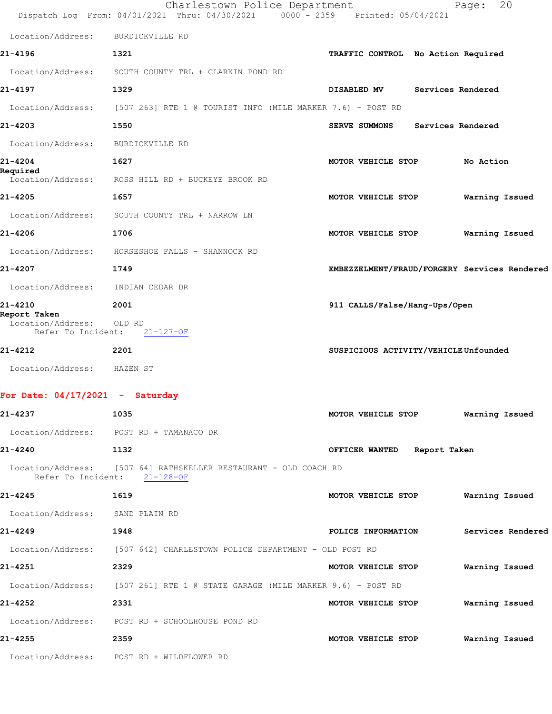|                                                                    | Charlestown Police Department<br>Dispatch Log From: 04/01/2021 Thru: 04/30/2021                  | 0000 - 2359 Printed: 05/04/2021              | 20<br>Page:       |
|--------------------------------------------------------------------|--------------------------------------------------------------------------------------------------|----------------------------------------------|-------------------|
| Location/Address:                                                  | BURDICKVILLE RD                                                                                  |                                              |                   |
| 21-4196                                                            | 1321                                                                                             | TRAFFIC CONTROL No Action Required           |                   |
| Location/Address:                                                  | SOUTH COUNTY TRL + CLARKIN POND RD                                                               |                                              |                   |
| 21-4197                                                            | 1329                                                                                             | DISABLED MV                                  | Services Rendered |
| Location/Address:                                                  | $[507 263]$ RTE 1 @ TOURIST INFO (MILE MARKER 7.6) - POST RD                                     |                                              |                   |
| 21-4203                                                            | 1550                                                                                             | <b>SERVE SUMMONS</b>                         | Services Rendered |
| Location/Address:                                                  | BURDICKVILLE RD                                                                                  |                                              |                   |
| 21-4204                                                            | 1627                                                                                             | MOTOR VEHICLE STOP                           | No Action         |
| Required<br>Location/Address:                                      | ROSS HILL RD + BUCKEYE BROOK RD                                                                  |                                              |                   |
| 21-4205                                                            | 1657                                                                                             | MOTOR VEHICLE STOP                           | Warning Issued    |
| Location/Address:                                                  | SOUTH COUNTY TRL + NARROW LN                                                                     |                                              |                   |
| 21-4206                                                            | 1706                                                                                             | MOTOR VEHICLE STOP                           | Warning Issued    |
| Location/Address:                                                  | HORSESHOE FALLS - SHANNOCK RD                                                                    |                                              |                   |
| 21-4207                                                            | 1749                                                                                             | EMBEZZELMENT/FRAUD/FORGERY Services Rendered |                   |
| Location/Address:                                                  | INDIAN CEDAR DR                                                                                  |                                              |                   |
| 21-4210<br>Report Taken<br>Location/Address:<br>Refer To Incident: | 2001<br>OLD RD<br>$21 - 127 - OF$                                                                | 911 CALLS/False/Hang-Ups/Open                |                   |
| 21-4212                                                            | 2201                                                                                             | SUSPICIOUS ACTIVITY/VEHICLE Unfounded        |                   |
| Location/Address: HAZEN ST                                         |                                                                                                  |                                              |                   |
| For Date: $04/17/2021$ - Saturday                                  |                                                                                                  |                                              |                   |
| 21-4237                                                            | 1035                                                                                             | MOTOR VEHICLE STOP Warning Issued            |                   |
|                                                                    | Location/Address: POST RD + TAMANACO DR                                                          |                                              |                   |
| 21-4240                                                            | 1132                                                                                             | OFFICER WANTED Report Taken                  |                   |
|                                                                    | Location/Address: [507 64] RATHSKELLER RESTAURANT - OLD COACH RD<br>Refer To Incident: 21-128-OF |                                              |                   |
| 21-4245                                                            | 1619                                                                                             | MOTOR VEHICLE STOP                           | Warning Issued    |
| Location/Address: SAND PLAIN RD                                    |                                                                                                  |                                              |                   |
| 21-4249                                                            | 1948                                                                                             | POLICE INFORMATION                           | Services Rendered |
|                                                                    | Location/Address: [507 642] CHARLESTOWN POLICE DEPARTMENT - OLD POST RD                          |                                              |                   |
| 21-4251                                                            | 2329                                                                                             | MOTOR VEHICLE STOP                           | Warning Issued    |
|                                                                    | Location/Address: [507 261] RTE 1 @ STATE GARAGE (MILE MARKER 9.6) - POST RD                     |                                              |                   |
| 21-4252                                                            | 2331                                                                                             | MOTOR VEHICLE STOP                           | Warning Issued    |
|                                                                    | Location/Address: POST RD + SCHOOLHOUSE POND RD                                                  |                                              |                   |
| 21-4255                                                            | 2359                                                                                             | MOTOR VEHICLE STOP                           | Warning Issued    |

Location/Address: POST RD + WILDFLOWER RD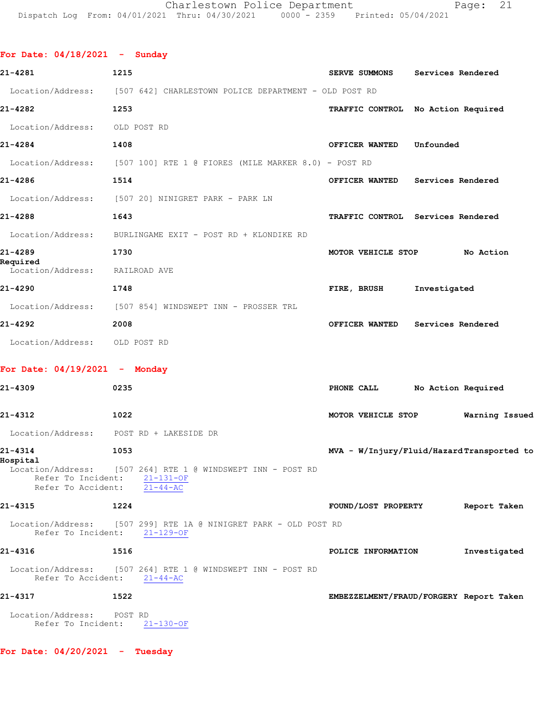| For Date: $04/18/2021$ - Sunday                             |      |                                                                         |                                           |              |                |
|-------------------------------------------------------------|------|-------------------------------------------------------------------------|-------------------------------------------|--------------|----------------|
| 21-4281                                                     | 1215 |                                                                         | SERVE SUMMONS Services Rendered           |              |                |
|                                                             |      | Location/Address: [507 642] CHARLESTOWN POLICE DEPARTMENT - OLD POST RD |                                           |              |                |
| 21-4282                                                     | 1253 |                                                                         | TRAFFIC CONTROL No Action Required        |              |                |
| Location/Address: OLD POST RD                               |      |                                                                         |                                           |              |                |
| 21-4284                                                     | 1408 |                                                                         | OFFICER WANTED Unfounded                  |              |                |
|                                                             |      | Location/Address: [507 100] RTE 1 @ FIORES (MILE MARKER 8.0) - POST RD  |                                           |              |                |
| 21-4286                                                     | 1514 |                                                                         | OFFICER WANTED Services Rendered          |              |                |
|                                                             |      | Location/Address: [507 20] NINIGRET PARK - PARK LN                      |                                           |              |                |
| 21-4288                                                     | 1643 |                                                                         | TRAFFIC CONTROL Services Rendered         |              |                |
|                                                             |      | Location/Address: BURLINGAME EXIT - POST RD + KLONDIKE RD               |                                           |              |                |
| 21-4289                                                     | 1730 |                                                                         | MOTOR VEHICLE STOP No Action              |              |                |
| Required<br>Location/Address: RAILROAD AVE                  |      |                                                                         |                                           |              |                |
| 21-4290                                                     | 1748 |                                                                         | FIRE, BRUSH                               | Investigated |                |
|                                                             |      | Location/Address: [507 854] WINDSWEPT INN - PROSSER TRL                 |                                           |              |                |
| 21-4292                                                     | 2008 |                                                                         | OFFICER WANTED Services Rendered          |              |                |
| Location/Address: OLD POST RD                               |      |                                                                         |                                           |              |                |
| For Date: $04/19/2021$ - Monday                             |      |                                                                         |                                           |              |                |
| 21-4309                                                     | 0235 |                                                                         | PHONE CALL No Action Required             |              |                |
| 21-4312                                                     | 1022 |                                                                         | MOTOR VEHICLE STOP                        |              | Warning Issued |
| Location/Address: POST RD + LAKESIDE DR                     |      |                                                                         |                                           |              |                |
| 21-4314<br>Hospital                                         | 1053 |                                                                         | MVA - W/Injury/Fluid/HazardTransported to |              |                |
| Refer To Incident: 21-131-OF<br>Refer To Accident: 21-44-AC |      | Location/Address: [507 264] RTE 1 @ WINDSWEPT INN - POST RD             |                                           |              |                |
| 21-4315                                                     | 1224 |                                                                         | FOUND/LOST PROPERTY Report Taken          |              |                |
| Refer To Incident: 21-129-OF                                |      | Location/Address: [507 299] RTE 1A @ NINIGRET PARK - OLD POST RD        |                                           |              |                |
| 21-4316                                                     | 1516 |                                                                         | POLICE INFORMATION                        |              | Investigated   |
| Refer To Accident: $21-44-AC$                               |      | Location/Address: [507 264] RTE 1 @ WINDSWEPT INN - POST RD             |                                           |              |                |
| 21-4317                                                     | 1522 |                                                                         | EMBEZZELMENT/FRAUD/FORGERY Report Taken   |              |                |
| Location/Address: POST RD<br>Refer To Incident: 21-130-OF   |      |                                                                         |                                           |              |                |
| For Date: $04/20/2021$ - Tuesday                            |      |                                                                         |                                           |              |                |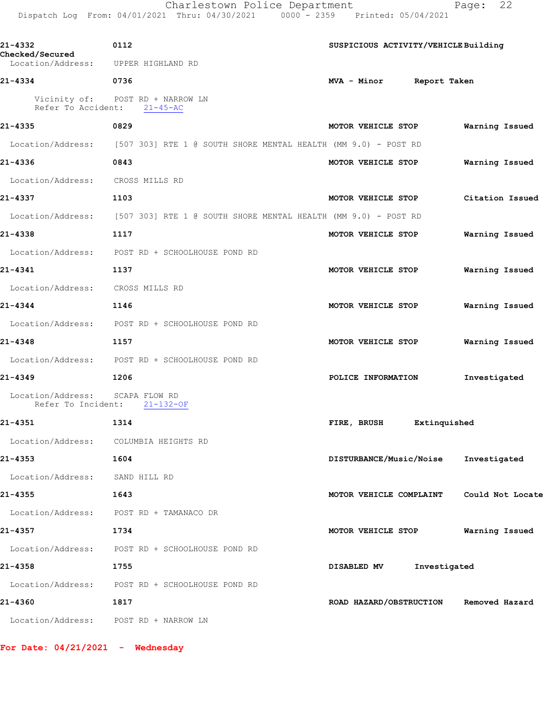|                                                        | Charlestown Police Department<br>$0000 - 2359$<br>Dispatch Log From: 04/01/2021 Thru: 04/30/2021 | Printed: 05/04/2021                  | 22<br>Page:      |
|--------------------------------------------------------|--------------------------------------------------------------------------------------------------|--------------------------------------|------------------|
| 21-4332<br><b>Checked/Secured</b><br>Location/Address: | 0112<br>UPPER HIGHLAND RD                                                                        | SUSPICIOUS ACTIVITY/VEHICLE Building |                  |
| 21-4334                                                | 0736                                                                                             | MVA - Minor<br>Report Taken          |                  |
| Refer To Accident:                                     | Vicinity of: POST RD + NARROW LN<br>$21 - 45 - AC$                                               |                                      |                  |
| 21-4335                                                | 0829                                                                                             | MOTOR VEHICLE STOP                   | Warning Issued   |
|                                                        | Location/Address: [507 303] RTE 1 @ SOUTH SHORE MENTAL HEALTH (MM 9.0) - POST RD                 |                                      |                  |
| 21-4336                                                | 0843                                                                                             | MOTOR VEHICLE STOP                   | Warning Issued   |
| Location/Address:                                      | CROSS MILLS RD                                                                                   |                                      |                  |
| 21-4337                                                | 1103                                                                                             | MOTOR VEHICLE STOP                   | Citation Issued  |
| Location/Address:                                      | [507 303] RTE 1 @ SOUTH SHORE MENTAL HEALTH (MM 9.0) - POST RD                                   |                                      |                  |
| 21-4338                                                | 1117                                                                                             | MOTOR VEHICLE STOP                   | Warning Issued   |
| Location/Address:                                      | POST RD + SCHOOLHOUSE POND RD                                                                    |                                      |                  |
| 21-4341                                                | 1137                                                                                             | MOTOR VEHICLE STOP                   | Warning Issued   |
| Location/Address:                                      | CROSS MILLS RD                                                                                   |                                      |                  |
| 21-4344                                                | 1146                                                                                             | MOTOR VEHICLE STOP                   | Warning Issued   |
| Location/Address:                                      | POST RD + SCHOOLHOUSE POND RD                                                                    |                                      |                  |
| 21-4348                                                | 1157                                                                                             | MOTOR VEHICLE STOP                   | Warning Issued   |
| Location/Address:                                      | POST RD + SCHOOLHOUSE POND RD                                                                    |                                      |                  |
| 21-4349                                                | 1206                                                                                             | POLICE INFORMATION                   | Investigated     |
| Location/Address:<br>Refer To Incident:                | SCAPA FLOW RD<br>$21 - 132 - OF$                                                                 |                                      |                  |
| 21-4351                                                | 1314                                                                                             | FIRE, BRUSH<br>Extinquished          |                  |
| Location/Address:                                      | COLUMBIA HEIGHTS RD                                                                              |                                      |                  |
| 21-4353                                                | 1604                                                                                             | DISTURBANCE/Music/Noise              | Investigated     |
| Location/Address:                                      | SAND HILL RD                                                                                     |                                      |                  |
| 21-4355                                                | 1643                                                                                             | MOTOR VEHICLE COMPLAINT              | Could Not Locate |
| Location/Address:                                      | POST RD + TAMANACO DR                                                                            |                                      |                  |
| 21-4357                                                | 1734                                                                                             | MOTOR VEHICLE STOP                   | Warning Issued   |
| Location/Address:                                      | POST RD + SCHOOLHOUSE POND RD                                                                    |                                      |                  |
| 21-4358                                                | 1755                                                                                             | DISABLED MV<br>Investigated          |                  |

**21-4360 1817 ROAD HAZARD/OBSTRUCTION Removed Hazard**

Location/Address: POST RD + NARROW LN

**For Date: 04/21/2021 - Wednesday**

Location/Address: POST RD + SCHOOLHOUSE POND RD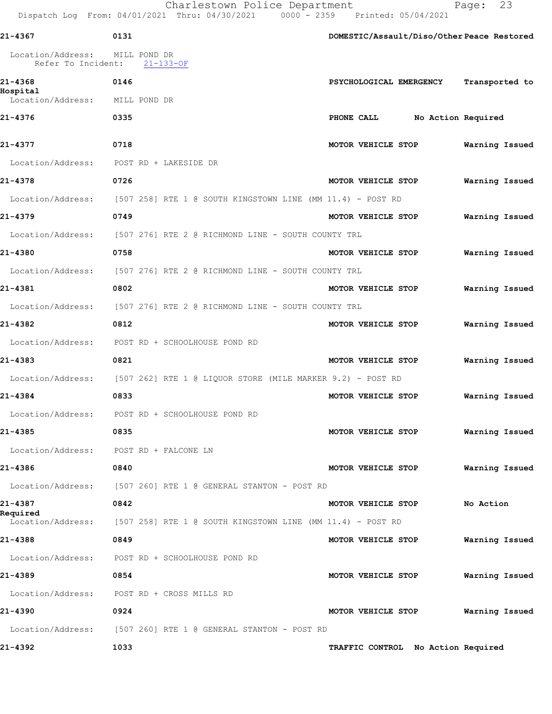Charlestown Police Department Fage: 23

Dispatch Log From: 04/01/2021 Thru: 04/30/2021 0000 - 2359 Printed: 05/04/2021

| 21-4367                                 | 0131 |                                                                      |                    |                                    | DOMESTIC/Assault/Diso/Other Peace Restored |
|-----------------------------------------|------|----------------------------------------------------------------------|--------------------|------------------------------------|--------------------------------------------|
| Location/Address:<br>Refer To Incident: |      | MILL POND DR<br>$21 - 133 - OF$                                      |                    |                                    |                                            |
| 21-4368                                 | 0146 |                                                                      |                    | PSYCHOLOGICAL EMERGENCY            | Transported to                             |
| Hospital<br>Location/Address:           |      | MILL POND DR                                                         |                    |                                    |                                            |
| 21-4376                                 | 0335 |                                                                      | PHONE CALL         | No Action Required                 |                                            |
| 21-4377                                 | 0718 |                                                                      | MOTOR VEHICLE STOP |                                    | Warning Issued                             |
| Location/Address:                       |      | POST RD + LAKESIDE DR                                                |                    |                                    |                                            |
| 21-4378                                 | 0726 |                                                                      | MOTOR VEHICLE STOP |                                    | Warning Issued                             |
| Location/Address:                       |      | $[507\;\;258]$ RTE 1 @ SOUTH KINGSTOWN LINE (MM 11.4) - POST RD      |                    |                                    |                                            |
| 21-4379                                 | 0749 |                                                                      | MOTOR VEHICLE STOP |                                    | Warning Issued                             |
|                                         |      | Location/Address: [507 276] RTE 2 @ RICHMOND LINE - SOUTH COUNTY TRL |                    |                                    |                                            |
| 21-4380                                 | 0758 |                                                                      | MOTOR VEHICLE STOP |                                    | Warning Issued                             |
| Location/Address:                       |      | [507 276] RTE 2 @ RICHMOND LINE - SOUTH COUNTY TRL                   |                    |                                    |                                            |
| 21-4381                                 | 0802 |                                                                      | MOTOR VEHICLE STOP |                                    | Warning Issued                             |
| Location/Address:                       |      | [507 276] RTE 2 @ RICHMOND LINE - SOUTH COUNTY TRL                   |                    |                                    |                                            |
| 21-4382                                 | 0812 |                                                                      | MOTOR VEHICLE STOP |                                    | Warning Issued                             |
|                                         |      | Location/Address: POST RD + SCHOOLHOUSE POND RD                      |                    |                                    |                                            |
| 21-4383                                 | 0821 |                                                                      | MOTOR VEHICLE STOP |                                    | Warning Issued                             |
| Location/Address:                       |      | [507 262] RTE 1 @ LIQUOR STORE (MILE MARKER 9.2) - POST RD           |                    |                                    |                                            |
| 21-4384                                 | 0833 |                                                                      | MOTOR VEHICLE STOP |                                    | Warning Issued                             |
| Location/Address:                       |      | POST RD + SCHOOLHOUSE POND RD                                        |                    |                                    |                                            |
| 21-4385                                 | 0835 |                                                                      | MOTOR VEHICLE STOP |                                    | Warning Issued                             |
| Location/Address: POST RD + FALCONE LN  |      |                                                                      |                    |                                    |                                            |
| 21-4386                                 | 0840 |                                                                      | MOTOR VEHICLE STOP |                                    | Warning Issued                             |
| Location/Address:                       |      | [507 260] RTE 1 @ GENERAL STANTON - POST RD                          |                    |                                    |                                            |
| 21-4387                                 | 0842 |                                                                      | MOTOR VEHICLE STOP |                                    | No Action                                  |
| Required<br>Location/Address:           |      | $[507 258]$ RTE 1 @ SOUTH KINGSTOWN LINE (MM 11.4) - POST RD         |                    |                                    |                                            |
| 21-4388                                 | 0849 |                                                                      | MOTOR VEHICLE STOP |                                    | Warning Issued                             |
| Location/Address:                       |      | POST RD + SCHOOLHOUSE POND RD                                        |                    |                                    |                                            |
| 21-4389                                 | 0854 |                                                                      | MOTOR VEHICLE STOP |                                    | Warning Issued                             |
| Location/Address:                       |      | POST RD + CROSS MILLS RD                                             |                    |                                    |                                            |
| 21-4390                                 | 0924 |                                                                      | MOTOR VEHICLE STOP |                                    | Warning Issued                             |
| Location/Address:                       |      | [507 260] RTE 1 @ GENERAL STANTON - POST RD                          |                    |                                    |                                            |
| 21-4392                                 | 1033 |                                                                      |                    | TRAFFIC CONTROL No Action Required |                                            |
|                                         |      |                                                                      |                    |                                    |                                            |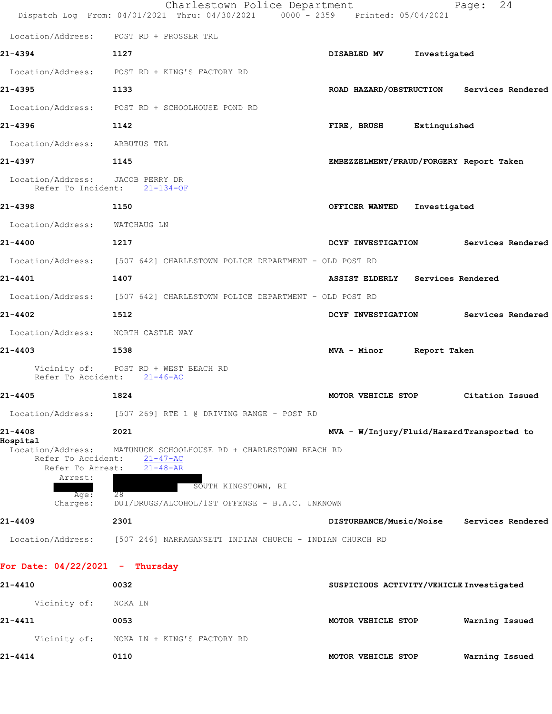|                                                                        | Charlestown Police Department<br>Dispatch Log From: 04/01/2021 Thru: 04/30/2021 0000 - 2359 Printed: 05/04/2021 |                                           |              | 24<br>Page:                               |
|------------------------------------------------------------------------|-----------------------------------------------------------------------------------------------------------------|-------------------------------------------|--------------|-------------------------------------------|
|                                                                        | Location/Address: POST RD + PROSSER TRL                                                                         |                                           |              |                                           |
| 21-4394                                                                | 1127                                                                                                            | DISABLED MV                               | Investigated |                                           |
|                                                                        | Location/Address: POST RD + KING'S FACTORY RD                                                                   |                                           |              |                                           |
| 21-4395                                                                | 1133                                                                                                            |                                           |              | ROAD HAZARD/OBSTRUCTION Services Rendered |
|                                                                        | Location/Address: POST RD + SCHOOLHOUSE POND RD                                                                 |                                           |              |                                           |
| 21-4396                                                                | 1142                                                                                                            | FIRE, BRUSH Extinquished                  |              |                                           |
| Location/Address: ARBUTUS TRL                                          |                                                                                                                 |                                           |              |                                           |
| 21-4397                                                                | 1145                                                                                                            | EMBEZZELMENT/FRAUD/FORGERY Report Taken   |              |                                           |
| Location/Address: JACOB PERRY DR<br>Refer To Incident:                 | $21 - 134 - OF$                                                                                                 |                                           |              |                                           |
| 21-4398                                                                | 1150                                                                                                            | OFFICER WANTED                            | Investigated |                                           |
| Location/Address: WATCHAUG LN                                          |                                                                                                                 |                                           |              |                                           |
| $21 - 4400$                                                            | 1217                                                                                                            | DCYF INVESTIGATION                        |              | Services Rendered                         |
|                                                                        | Location/Address: [507 642] CHARLESTOWN POLICE DEPARTMENT - OLD POST RD                                         |                                           |              |                                           |
| 21-4401                                                                | 1407                                                                                                            | ASSIST ELDERLY Services Rendered          |              |                                           |
|                                                                        | Location/Address: [507 642] CHARLESTOWN POLICE DEPARTMENT - OLD POST RD                                         |                                           |              |                                           |
| 21-4402                                                                | 1512                                                                                                            | DCYF INVESTIGATION                        |              | Services Rendered                         |
| Location/Address: NORTH CASTLE WAY                                     |                                                                                                                 |                                           |              |                                           |
| 21-4403                                                                | 1538                                                                                                            | MVA - Minor Report Taken                  |              |                                           |
|                                                                        | Vicinity of: POST RD + WEST BEACH RD<br>Refer To Accident: 21-46-AC                                             |                                           |              |                                           |
| 21-4405                                                                | 1824                                                                                                            | MOTOR VEHICLE STOP                        |              | Citation Issued                           |
|                                                                        | Location/Address: [507 269] RTE 1 @ DRIVING RANGE - POST RD                                                     |                                           |              |                                           |
| 21-4408<br>Hospital                                                    | 2021                                                                                                            | MVA - W/Injury/Fluid/HazardTransported to |              |                                           |
| Location/Address:<br>Refer To Accident:<br>Refer To Arrest:<br>Arrest: | MATUNUCK SCHOOLHOUSE RD + CHARLESTOWN BEACH RD<br>$21 - 47 - AC$<br>$21 - 48 - AR$<br>SOUTH KINGSTOWN, RI       |                                           |              |                                           |
| Age:<br>Charges:                                                       | 28<br>DUI/DRUGS/ALCOHOL/1ST OFFENSE - B.A.C. UNKNOWN                                                            |                                           |              |                                           |
| 21-4409                                                                | 2301                                                                                                            |                                           |              | DISTURBANCE/Music/Noise Services Rendered |
| Location/Address:                                                      | [507 246] NARRAGANSETT INDIAN CHURCH - INDIAN CHURCH RD                                                         |                                           |              |                                           |
| For Date: $04/22/2021$ - Thursday                                      |                                                                                                                 |                                           |              |                                           |
| 21-4410                                                                | 0032                                                                                                            | SUSPICIOUS ACTIVITY/VEHICLE Investigated  |              |                                           |
| Vicinity of:                                                           | NOKA LN                                                                                                         |                                           |              |                                           |
| 21-4411                                                                | 0053                                                                                                            | MOTOR VEHICLE STOP                        |              | Warning Issued                            |

 Vicinity of: NOKA LN + KING'S FACTORY RD **21-4414 0110 MOTOR VEHICLE STOP Warning Issued**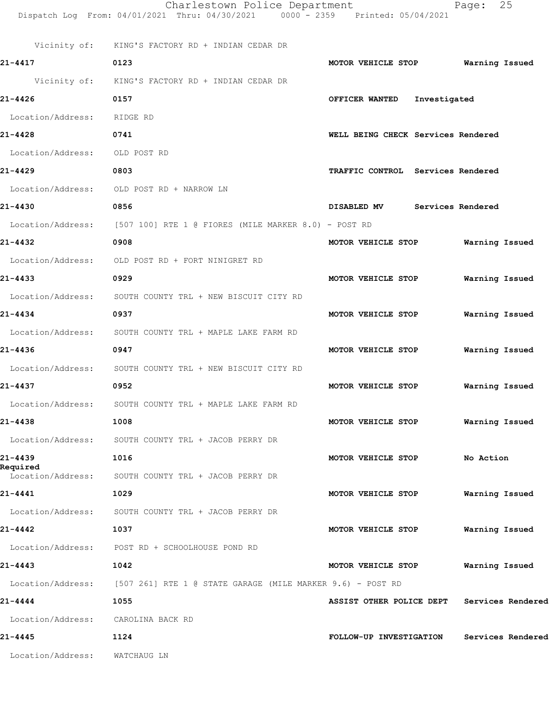|                               | Charlestown Police Department<br>Dispatch Log From: 04/01/2021 Thru: 04/30/2021 0000 - 2359 Printed: 05/04/2021 |                                    | 25<br>Page:       |
|-------------------------------|-----------------------------------------------------------------------------------------------------------------|------------------------------------|-------------------|
|                               | Vicinity of: KING'S FACTORY RD + INDIAN CEDAR DR                                                                |                                    |                   |
| 21-4417                       | 0123                                                                                                            | MOTOR VEHICLE STOP                 | Warning Issued    |
|                               | Vicinity of: KING'S FACTORY RD + INDIAN CEDAR DR                                                                |                                    |                   |
| 21-4426                       | 0157                                                                                                            | OFFICER WANTED Investigated        |                   |
| Location/Address: RIDGE RD    |                                                                                                                 |                                    |                   |
| 21-4428                       | 0741                                                                                                            | WELL BEING CHECK Services Rendered |                   |
| Location/Address: OLD POST RD |                                                                                                                 |                                    |                   |
| 21-4429                       | 0803                                                                                                            | TRAFFIC CONTROL Services Rendered  |                   |
|                               | Location/Address: OLD POST RD + NARROW LN                                                                       |                                    |                   |
| 21-4430                       | 0856                                                                                                            | DISABLED MV Services Rendered      |                   |
|                               | Location/Address: [507 100] RTE 1 @ FIORES (MILE MARKER 8.0) - POST RD                                          |                                    |                   |
| 21-4432                       | 0908                                                                                                            | MOTOR VEHICLE STOP                 | Warning Issued    |
|                               | Location/Address: OLD POST RD + FORT NINIGRET RD                                                                |                                    |                   |
| 21-4433                       | 0929                                                                                                            | MOTOR VEHICLE STOP                 | Warning Issued    |
| Location/Address:             | SOUTH COUNTY TRL + NEW BISCUIT CITY RD                                                                          |                                    |                   |
| 21-4434                       | 0937                                                                                                            | MOTOR VEHICLE STOP                 | Warning Issued    |
|                               | Location/Address: SOUTH COUNTY TRL + MAPLE LAKE FARM RD                                                         |                                    |                   |
| 21-4436                       | 0947                                                                                                            | MOTOR VEHICLE STOP                 | Warning Issued    |
|                               | Location/Address: SOUTH COUNTY TRL + NEW BISCUIT CITY RD                                                        |                                    |                   |
| 21-4437                       | 0952                                                                                                            | MOTOR VEHICLE STOP                 | Warning Issued    |
| Location/Address:             | SOUTH COUNTY TRL + MAPLE LAKE FARM RD                                                                           |                                    |                   |
| 21-4438                       | 1008                                                                                                            | MOTOR VEHICLE STOP                 | Warning Issued    |
|                               | Location/Address: SOUTH COUNTY TRL + JACOB PERRY DR                                                             |                                    |                   |
| 21-4439                       | 1016                                                                                                            | MOTOR VEHICLE STOP                 | No Action         |
| Required<br>Location/Address: | SOUTH COUNTY TRL + JACOB PERRY DR                                                                               |                                    |                   |
| 21-4441                       | 1029                                                                                                            | MOTOR VEHICLE STOP                 | Warning Issued    |
| Location/Address:             | SOUTH COUNTY TRL + JACOB PERRY DR                                                                               |                                    |                   |
| 21-4442                       | 1037                                                                                                            | MOTOR VEHICLE STOP                 | Warning Issued    |
|                               | Location/Address: POST RD + SCHOOLHOUSE POND RD                                                                 |                                    |                   |
| 21-4443                       | 1042                                                                                                            | MOTOR VEHICLE STOP                 | Warning Issued    |
| Location/Address:             | [507 261] RTE 1 @ STATE GARAGE (MILE MARKER 9.6) - POST RD                                                      |                                    |                   |
| 21-4444                       | 1055                                                                                                            | ASSIST OTHER POLICE DEPT           | Services Rendered |
| Location/Address:             | CAROLINA BACK RD                                                                                                |                                    |                   |
| 21-4445                       | 1124                                                                                                            | FOLLOW-UP INVESTIGATION            | Services Rendered |
| Location/Address:             | WATCHAUG LN                                                                                                     |                                    |                   |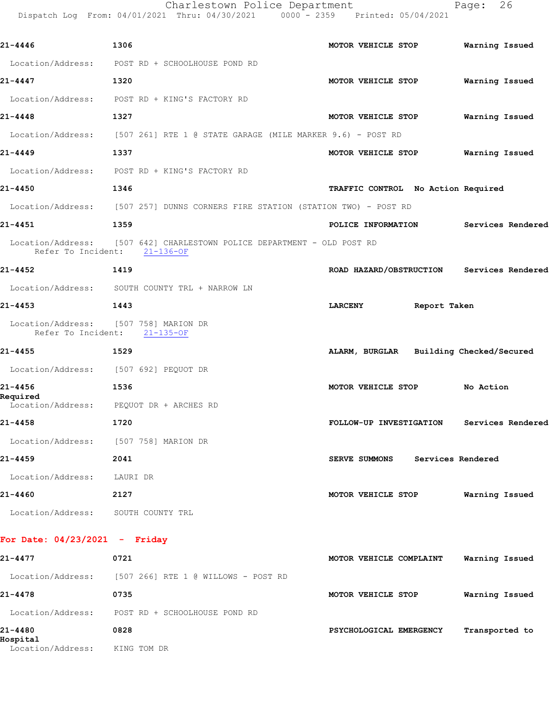Charlestown Police Department Fage: 26

Dispatch Log From: 04/01/2021 Thru: 04/30/2021 0000 - 2359 Printed: 05/04/2021

| 21-4446                               | 1306                                                                                                    | MOTOR VEHICLE STOP                        | Warning Issued    |
|---------------------------------------|---------------------------------------------------------------------------------------------------------|-------------------------------------------|-------------------|
|                                       | Location/Address: POST RD + SCHOOLHOUSE POND RD                                                         |                                           |                   |
| 21-4447                               | 1320                                                                                                    | MOTOR VEHICLE STOP                        | Warning Issued    |
|                                       | Location/Address: POST RD + KING'S FACTORY RD                                                           |                                           |                   |
| 21-4448                               | 1327                                                                                                    | MOTOR VEHICLE STOP                        | Warning Issued    |
|                                       | Location/Address: [507 261] RTE 1 @ STATE GARAGE (MILE MARKER 9.6) - POST RD                            |                                           |                   |
| 21-4449                               | 1337                                                                                                    | MOTOR VEHICLE STOP                        | Warning Issued    |
|                                       | Location/Address: POST RD + KING'S FACTORY RD                                                           |                                           |                   |
| 21-4450                               | 1346                                                                                                    | TRAFFIC CONTROL No Action Required        |                   |
|                                       | Location/Address: [507 257] DUNNS CORNERS FIRE STATION (STATION TWO) - POST RD                          |                                           |                   |
| 21-4451                               | 1359                                                                                                    | POLICE INFORMATION                        | Services Rendered |
|                                       | Location/Address: [507 642] CHARLESTOWN POLICE DEPARTMENT - OLD POST RD<br>Refer To Incident: 21-136-OF |                                           |                   |
| $21 - 4452$                           | 1419                                                                                                    | ROAD HAZARD/OBSTRUCTION Services Rendered |                   |
|                                       | Location/Address: SOUTH COUNTY TRL + NARROW LN                                                          |                                           |                   |
| 21-4453                               | 1443                                                                                                    | Report Taken<br><b>LARCENY</b>            |                   |
| Location/Address: [507 758] MARION DR | Refer To Incident: 21-135-OF                                                                            |                                           |                   |
| 21-4455                               | 1529                                                                                                    | ALARM, BURGLAR Building Checked/Secured   |                   |
| Location/Address: [507 692] PEQUOT DR |                                                                                                         |                                           |                   |
| 21-4456<br>Required                   | 1536<br>Location/Address: PEQUOT DR + ARCHES RD                                                         | MOTOR VEHICLE STOP                        | No Action         |
| 21-4458                               | 1720                                                                                                    | FOLLOW-UP INVESTIGATION Services Rendered |                   |
| Location/Address: [507 758] MARION DR |                                                                                                         |                                           |                   |
| 21-4459                               | 2041                                                                                                    | <b>SERVE SUMMONS</b><br>Services Rendered |                   |
| Location/Address: LAURI DR            |                                                                                                         |                                           |                   |
| 21-4460                               | 2127                                                                                                    | MOTOR VEHICLE STOP                        | Warning Issued    |
| Location/Address: SOUTH COUNTY TRL    |                                                                                                         |                                           |                   |
| For Date: $04/23/2021$ - Friday       |                                                                                                         |                                           |                   |
| 21-4477                               | 0721                                                                                                    | MOTOR VEHICLE COMPLAINT                   | Warning Issued    |
|                                       | Location/Address: [507 266] RTE 1 @ WILLOWS - POST RD                                                   |                                           |                   |
| 21-4478                               | 0735                                                                                                    | MOTOR VEHICLE STOP                        | Warning Issued    |

**21-4478 0735 MOTOR VEHICLE STOP Warning Issued** Location/Address: POST RD + SCHOOLHOUSE POND RD **21-4480 0828 PSYCHOLOGICAL EMERGENCY Transported to Hospital**  Location/Address: KING TOM DR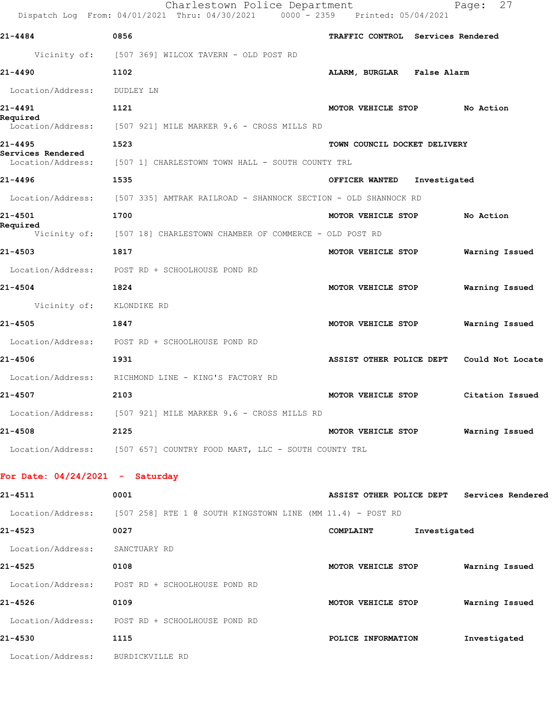|                              | Charlestown Police Department<br>Dispatch Log From: 04/01/2021 Thru: 04/30/2021 0000 - 2359 Printed: 05/04/2021 |                                           | Page: 27        |
|------------------------------|-----------------------------------------------------------------------------------------------------------------|-------------------------------------------|-----------------|
| 21-4484                      | 0856                                                                                                            | TRAFFIC CONTROL Services Rendered         |                 |
|                              | Vicinity of: [507 369] WILCOX TAVERN - OLD POST RD                                                              |                                           |                 |
| 21-4490                      | 1102                                                                                                            | ALARM, BURGLAR False Alarm                |                 |
| Location/Address: DUDLEY LN  |                                                                                                                 |                                           |                 |
| 21-4491                      | 1121                                                                                                            | MOTOR VEHICLE STOP                        | No Action       |
| Required                     | Location/Address: [507 921] MILE MARKER 9.6 - CROSS MILLS RD                                                    |                                           |                 |
| 21-4495<br>Services Rendered | 1523                                                                                                            | TOWN COUNCIL DOCKET DELIVERY              |                 |
|                              | Location/Address: [507 1] CHARLESTOWN TOWN HALL - SOUTH COUNTY TRL                                              |                                           |                 |
| 21-4496                      | 1535                                                                                                            | OFFICER WANTED Investigated               |                 |
|                              | Location/Address: [507 335] AMTRAK RAILROAD - SHANNOCK SECTION - OLD SHANNOCK RD                                |                                           |                 |
| 21-4501                      | 1700                                                                                                            | MOTOR VEHICLE STOP                        | No Action       |
| Required                     | Vicinity of: [507 18] CHARLESTOWN CHAMBER OF COMMERCE - OLD POST RD                                             |                                           |                 |
| 21-4503                      | 1817                                                                                                            | MOTOR VEHICLE STOP                        | Warning Issued  |
|                              | Location/Address: POST RD + SCHOOLHOUSE POND RD                                                                 |                                           |                 |
| 21-4504                      | 1824                                                                                                            | MOTOR VEHICLE STOP                        | Warning Issued  |
| Vicinity of:                 | KLONDIKE RD                                                                                                     |                                           |                 |
| 21-4505                      | 1847                                                                                                            | MOTOR VEHICLE STOP                        | Warning Issued  |
|                              | Location/Address: POST RD + SCHOOLHOUSE POND RD                                                                 |                                           |                 |
| 21-4506                      | 1931                                                                                                            | ASSIST OTHER POLICE DEPT Could Not Locate |                 |
| Location/Address:            | RICHMOND LINE - KING'S FACTORY RD                                                                               |                                           |                 |
| 21-4507                      | 2103                                                                                                            | MOTOR VEHICLE STOP                        | Citation Issued |
|                              | Location/Address: [507 921] MILE MARKER 9.6 - CROSS MILLS RD                                                    |                                           |                 |
| 21-4508                      | 2125                                                                                                            | MOTOR VEHICLE STOP                        | Warning Issued  |
|                              | Location/Address: [507 657] COUNTRY FOOD MART, LLC - SOUTH COUNTY TRL                                           |                                           |                 |
|                              |                                                                                                                 |                                           |                 |

## **For Date: 04/24/2021 - Saturday**

| 21-4511           | 0001                                                         | ASSIST OTHER POLICE DEPT |              | Services Rendered |
|-------------------|--------------------------------------------------------------|--------------------------|--------------|-------------------|
| Location/Address: | $[507 258]$ RTE 1 @ SOUTH KINGSTOWN LINE (MM 11.4) - POST RD |                          |              |                   |
| $21 - 4523$       | 0027                                                         | COMPLAINT                | Investigated |                   |
| Location/Address: | SANCTUARY RD                                                 |                          |              |                   |
| 21-4525           | 0108                                                         | MOTOR VEHICLE STOP       |              | Warning Issued    |
| Location/Address: | POST RD + SCHOOLHOUSE POND RD                                |                          |              |                   |
| 21-4526           | 0109                                                         | MOTOR VEHICLE STOP       |              | Warning Issued    |
| Location/Address: | POST RD + SCHOOLHOUSE POND RD                                |                          |              |                   |
| 21-4530           | 1115                                                         | POLICE INFORMATION       |              | Investigated      |
| Location/Address: | BURDICKVILLE RD                                              |                          |              |                   |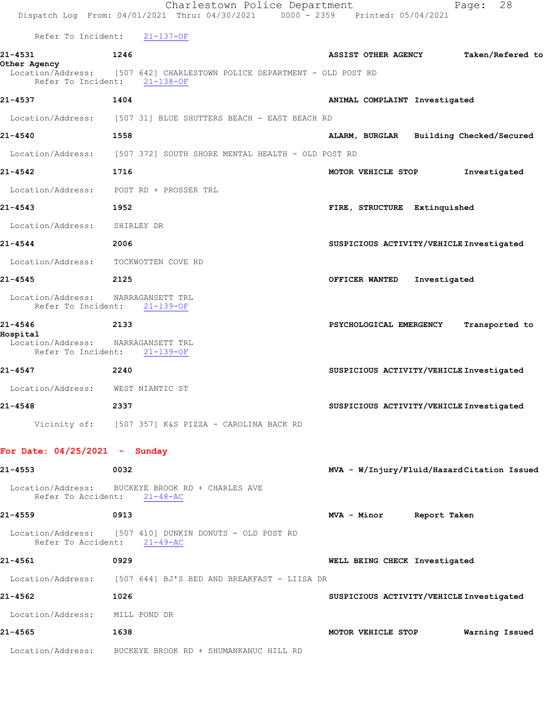|                                         | Charlestown Police Department<br>Dispatch Log From: 04/01/2021 Thru: 04/30/2021 0000 - 2359 Printed: 05/04/2021 | 28<br>Page:                                    |
|-----------------------------------------|-----------------------------------------------------------------------------------------------------------------|------------------------------------------------|
|                                         | Refer To Incident: 21-137-OF                                                                                    |                                                |
| 21-4531                                 | 1246                                                                                                            | Taken/Refered to<br><b>ASSIST OTHER AGENCY</b> |
| Other Agency                            | Location/Address: [507 642] CHARLESTOWN POLICE DEPARTMENT - OLD POST RD<br>Refer To Incident: 21-138-OF         |                                                |
| 21-4537                                 | 1404                                                                                                            | ANIMAL COMPLAINT Investigated                  |
|                                         | Location/Address: [507 31] BLUE SHUTTERS BEACH - EAST BEACH RD                                                  |                                                |
| 21-4540                                 | 1558                                                                                                            | ALARM, BURGLAR Building Checked/Secured        |
|                                         | Location/Address: [507 372] SOUTH SHORE MENTAL HEALTH - OLD POST RD                                             |                                                |
| 21-4542                                 | 1716                                                                                                            | MOTOR VEHICLE STOP<br>Investigated             |
|                                         | Location/Address: POST RD + PROSSER TRL                                                                         |                                                |
| 21-4543                                 | 1952                                                                                                            | FIRE, STRUCTURE Extinquished                   |
| Location/Address:                       | SHIRLEY DR                                                                                                      |                                                |
| 21-4544                                 | 2006                                                                                                            | SUSPICIOUS ACTIVITY/VEHICLE Investigated       |
| Location/Address:                       | TOCKWOTTEN COVE RD                                                                                              |                                                |
| 21-4545                                 | 2125                                                                                                            | Investigated<br>OFFICER WANTED                 |
| Location/Address:<br>Refer To Incident: | NARRAGANSETT TRL<br>$21 - 139 - OF$                                                                             |                                                |
| 21-4546<br>Hospital                     | 2133                                                                                                            | PSYCHOLOGICAL EMERGENCY<br>Transported to      |
| Location/Address: NARRAGANSETT TRL      | Refer To Incident: 21-139-OF                                                                                    |                                                |
| 21-4547                                 | 2240                                                                                                            | SUSPICIOUS ACTIVITY/VEHICLE Investigated       |
| Location/Address: WEST NIANTIC ST       |                                                                                                                 |                                                |
| 21-4548                                 | 2337                                                                                                            | SUSPICIOUS ACTIVITY/VEHICLE Investigated       |
|                                         | Vicinity of: [507 357] K&S PIZZA - CAROLINA BACK RD                                                             |                                                |
| For Date: $04/25/2021$ - Sunday         |                                                                                                                 |                                                |
| 21-4553                                 | 0032                                                                                                            | MVA - W/Injury/Fluid/HazardCitation Issued     |
| Refer To Accident:                      | Location/Address: BUCKEYE BROOK RD + CHARLES AVE<br>$21 - 48 - AC$                                              |                                                |
| 21-4559                                 | 0913                                                                                                            | MVA - Minor Report Taken                       |
|                                         | Location/Address: [507 410] DUNKIN DONUTS - OLD POST RD<br>Refer To Accident: 21-49-AC                          |                                                |
| 21-4561                                 | 0929                                                                                                            | WELL BEING CHECK Investigated                  |
|                                         | Location/Address: [507 644] BJ'S BED AND BREAKFAST - LIISA DR                                                   |                                                |
| 21-4562                                 | 1026                                                                                                            | SUSPICIOUS ACTIVITY/VEHICLE Investigated       |
| Location/Address: MILL POND DR          |                                                                                                                 |                                                |
| 21-4565                                 | 1638                                                                                                            | MOTOR VEHICLE STOP<br>Warning Issued           |
|                                         | Location/Address: BUCKEYE BROOK RD + SHUMANKANUC HILL RD                                                        |                                                |
|                                         |                                                                                                                 |                                                |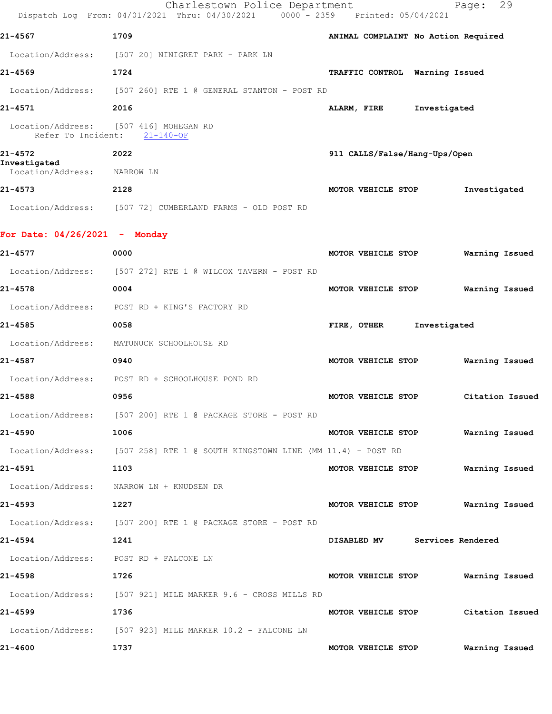|                                   | Charlestown Police Department<br>Dispatch Log From: 04/01/2021 Thru: 04/30/2021 0000 - 2359 Printed: 05/04/2021 |                                     | 29<br>Page:     |
|-----------------------------------|-----------------------------------------------------------------------------------------------------------------|-------------------------------------|-----------------|
| 21-4567                           | 1709                                                                                                            | ANIMAL COMPLAINT No Action Required |                 |
|                                   | Location/Address: [507 20] NINIGRET PARK - PARK LN                                                              |                                     |                 |
| 21-4569                           | 1724                                                                                                            | TRAFFIC CONTROL Warning Issued      |                 |
| Location/Address:                 | [507 260] RTE 1 @ GENERAL STANTON - POST RD                                                                     |                                     |                 |
| 21-4571                           | 2016                                                                                                            | Investigated<br>ALARM, FIRE         |                 |
| Refer To Incident:                | Location/Address: [507 416] MOHEGAN RD<br>$21 - 140 - OF$                                                       |                                     |                 |
| 21-4572                           | 2022                                                                                                            | 911 CALLS/False/Hang-Ups/Open       |                 |
| Investigated<br>Location/Address: | NARROW LN                                                                                                       |                                     |                 |
| 21-4573                           | 2128                                                                                                            | MOTOR VEHICLE STOP                  | Investigated    |
|                                   | Location/Address: [507 72] CUMBERLAND FARMS - OLD POST RD                                                       |                                     |                 |
| For Date: 04/26/2021 - Monday     |                                                                                                                 |                                     |                 |
| 21-4577                           | 0000                                                                                                            | MOTOR VEHICLE STOP                  | Warning Issued  |
| Location/Address:                 | [507 272] RTE 1 @ WILCOX TAVERN - POST RD                                                                       |                                     |                 |
| 21-4578                           | 0004                                                                                                            | MOTOR VEHICLE STOP                  | Warning Issued  |
| Location/Address:                 | POST RD + KING'S FACTORY RD                                                                                     |                                     |                 |
| 21-4585                           | 0058                                                                                                            | Investigated<br>FIRE, OTHER         |                 |
| Location/Address:                 | MATUNUCK SCHOOLHOUSE RD                                                                                         |                                     |                 |
| 21-4587                           | 0940                                                                                                            | MOTOR VEHICLE STOP                  | Warning Issued  |
| Location/Address:                 | POST RD + SCHOOLHOUSE POND RD                                                                                   |                                     |                 |
| 21-4588                           | 0956                                                                                                            | MOTOR VEHICLE STOP                  | Citation Issued |
|                                   | Location/Address: [507 200] RTE 1 @ PACKAGE STORE - POST RD                                                     |                                     |                 |
| 21-4590                           | 1006                                                                                                            | MOTOR VEHICLE STOP                  | Warning Issued  |
|                                   | Location/Address: [507 258] RTE 1 @ SOUTH KINGSTOWN LINE (MM 11.4) - POST RD                                    |                                     |                 |
| 21-4591                           | 1103                                                                                                            | MOTOR VEHICLE STOP                  | Warning Issued  |
|                                   | Location/Address: NARROW LN + KNUDSEN DR                                                                        |                                     |                 |
| 21-4593                           | 1227                                                                                                            | MOTOR VEHICLE STOP Warning Issued   |                 |
|                                   | Location/Address: [507 200] RTE 1 @ PACKAGE STORE - POST RD                                                     |                                     |                 |
| 21-4594                           | 1241                                                                                                            | DISABLED MV Services Rendered       |                 |
|                                   | Location/Address: POST RD + FALCONE LN                                                                          |                                     |                 |
| 21-4598                           | 1726                                                                                                            | MOTOR VEHICLE STOP Warning Issued   |                 |
|                                   | Location/Address: [507 921] MILE MARKER 9.6 - CROSS MILLS RD                                                    |                                     |                 |
| 21-4599                           | 1736                                                                                                            | MOTOR VEHICLE STOP                  | Citation Issued |
|                                   | Location/Address: [507 923] MILE MARKER 10.2 - FALCONE LN                                                       |                                     |                 |
| 21-4600                           | 1737                                                                                                            | MOTOR VEHICLE STOP                  | Warning Issued  |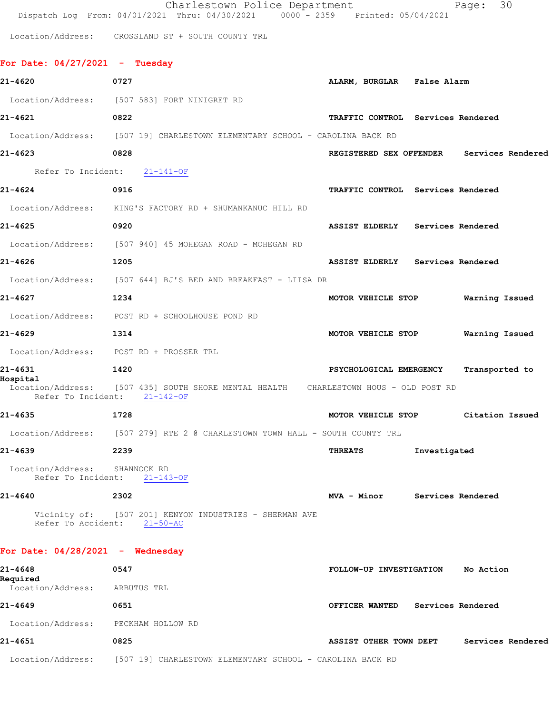|                                                      | Charlestown Police Department<br>Dispatch Log From: 04/01/2021 Thru: 04/30/2021 0000 - 2359 Printed: 05/04/2021      |                                           | 30<br>Page:       |
|------------------------------------------------------|----------------------------------------------------------------------------------------------------------------------|-------------------------------------------|-------------------|
|                                                      | Location/Address: CROSSLAND ST + SOUTH COUNTY TRL                                                                    |                                           |                   |
| For Date: $04/27/2021$ - Tuesday                     |                                                                                                                      |                                           |                   |
| 21-4620                                              | 0727                                                                                                                 | ALARM, BURGLAR False Alarm                |                   |
|                                                      | Location/Address: [507 583] FORT NINIGRET RD                                                                         |                                           |                   |
| 21-4621                                              | 0822                                                                                                                 | TRAFFIC CONTROL Services Rendered         |                   |
|                                                      | Location/Address: [507 19] CHARLESTOWN ELEMENTARY SCHOOL - CAROLINA BACK RD                                          |                                           |                   |
| 21-4623                                              | 0828                                                                                                                 | REGISTERED SEX OFFENDER Services Rendered |                   |
|                                                      | Refer To Incident: 21-141-OF                                                                                         |                                           |                   |
| $21 - 4624$                                          | 0916                                                                                                                 | TRAFFIC CONTROL Services Rendered         |                   |
|                                                      | Location/Address: KING'S FACTORY RD + SHUMANKANUC HILL RD                                                            |                                           |                   |
| 21-4625                                              | 0920                                                                                                                 | ASSIST ELDERLY Services Rendered          |                   |
|                                                      | Location/Address: [507 940] 45 MOHEGAN ROAD - MOHEGAN RD                                                             |                                           |                   |
| 21-4626                                              | 1205                                                                                                                 | ASSIST ELDERLY Services Rendered          |                   |
|                                                      | Location/Address: [507 644] BJ'S BED AND BREAKFAST - LIISA DR                                                        |                                           |                   |
| 21-4627                                              | 1234                                                                                                                 | MOTOR VEHICLE STOP                        | Warning Issued    |
|                                                      | Location/Address: POST RD + SCHOOLHOUSE POND RD                                                                      |                                           |                   |
| 21-4629                                              | 1314                                                                                                                 | MOTOR VEHICLE STOP                        | Warning Issued    |
|                                                      | Location/Address: POST RD + PROSSER TRL                                                                              |                                           |                   |
| 21-4631                                              | 1420                                                                                                                 | PSYCHOLOGICAL EMERGENCY                   | Transported to    |
| Hospital                                             | Location/Address: [507 435] SOUTH SHORE MENTAL HEALTH CHARLESTOWN HOUS - OLD POST RD<br>Refer To Incident: 21-142-OF |                                           |                   |
| $21 - 4635$                                          | 1728                                                                                                                 | MOTOR VEHICLE STOP                        | Citation Issued   |
|                                                      | Location/Address: [507 279] RTE 2 @ CHARLESTOWN TOWN HALL - SOUTH COUNTY TRL                                         |                                           |                   |
| 21-4639                                              | 2239                                                                                                                 | Investigated<br>THREATS                   |                   |
| Location/Address: SHANNOCK RD                        | Refer To Incident: 21-143-OF                                                                                         |                                           |                   |
| 21-4640                                              | 2302                                                                                                                 | MVA - Minor Services Rendered             |                   |
| Refer To Accident: 21-50-AC                          | Vicinity of: [507 201] KENYON INDUSTRIES - SHERMAN AVE                                                               |                                           |                   |
| For Date: $04/28/2021$ - Wednesday                   |                                                                                                                      |                                           |                   |
| 21-4648<br>Required<br>Location/Address: ARBUTUS TRL | 0547                                                                                                                 | FOLLOW-UP INVESTIGATION No Action         |                   |
| 21-4649                                              | 0651                                                                                                                 | OFFICER WANTED Services Rendered          |                   |
| Location/Address: PECKHAM HOLLOW RD                  |                                                                                                                      |                                           |                   |
| 21-4651                                              | 0825                                                                                                                 | ASSIST OTHER TOWN DEPT                    | Services Rendered |
|                                                      | Location/Address: [507 19] CHARLESTOWN ELEMENTARY SCHOOL - CAROLINA BACK RD                                          |                                           |                   |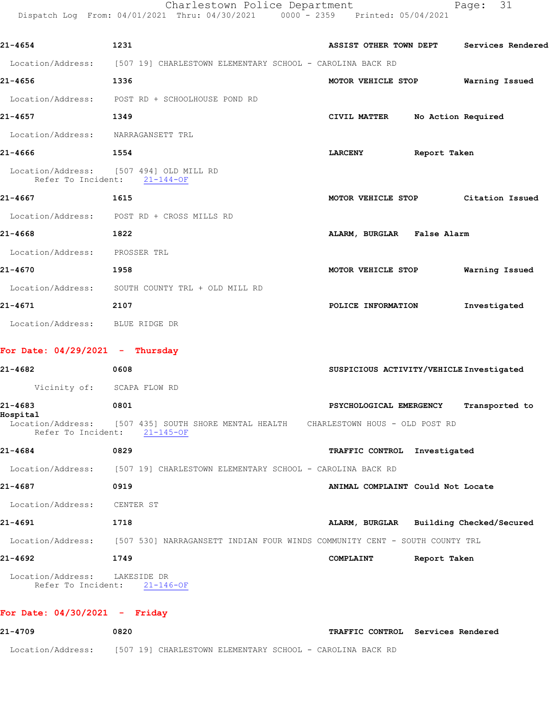Charlestown Police Department Page: 31

|                                    | Dispatch Log From: 04/01/2021 Thru: 04/30/2021 0000 - 2359 Printed: 05/04/2021                                       |                |                                   |                    |                                          |
|------------------------------------|----------------------------------------------------------------------------------------------------------------------|----------------|-----------------------------------|--------------------|------------------------------------------|
| 21-4654                            | 1231                                                                                                                 |                | ASSIST OTHER TOWN DEPT            |                    | Services Rendered                        |
|                                    | Location/Address: [507 19] CHARLESTOWN ELEMENTARY SCHOOL - CAROLINA BACK RD                                          |                |                                   |                    |                                          |
| 21-4656                            | 1336                                                                                                                 |                | MOTOR VEHICLE STOP                |                    | Warning Issued                           |
|                                    | Location/Address: POST RD + SCHOOLHOUSE POND RD                                                                      |                |                                   |                    |                                          |
| 21-4657                            | 1349                                                                                                                 |                | CIVIL MATTER                      | No Action Required |                                          |
| Location/Address: NARRAGANSETT TRL |                                                                                                                      |                |                                   |                    |                                          |
| 21-4666                            | 1554                                                                                                                 | <b>LARCENY</b> |                                   | Report Taken       |                                          |
|                                    | Location/Address: [507 494] OLD MILL RD<br>Refer To Incident: 21-144-OF                                              |                |                                   |                    |                                          |
| 21-4667                            | 1615                                                                                                                 |                |                                   |                    | MOTOR VEHICLE STOP Citation Issued       |
|                                    | Location/Address: POST RD + CROSS MILLS RD                                                                           |                |                                   |                    |                                          |
| 21-4668                            | 1822                                                                                                                 |                | ALARM, BURGLAR False Alarm        |                    |                                          |
| Location/Address: PROSSER TRL      |                                                                                                                      |                |                                   |                    |                                          |
| 21-4670                            | 1958                                                                                                                 |                | MOTOR VEHICLE STOP                |                    | Warning Issued                           |
|                                    | Location/Address: SOUTH COUNTY TRL + OLD MILL RD                                                                     |                |                                   |                    |                                          |
| 21-4671                            | 2107                                                                                                                 |                | POLICE INFORMATION                |                    | Investigated                             |
| Location/Address: BLUE RIDGE DR    |                                                                                                                      |                |                                   |                    |                                          |
| For Date: $04/29/2021$ - Thursday  |                                                                                                                      |                |                                   |                    |                                          |
| 21-4682                            | 0608                                                                                                                 |                |                                   |                    | SUSPICIOUS ACTIVITY/VEHICLE Investigated |
| Vicinity of: SCAPA FLOW RD         |                                                                                                                      |                |                                   |                    |                                          |
| 21-4683                            | 0801                                                                                                                 |                | PSYCHOLOGICAL EMERGENCY           |                    | Transported to                           |
| Hospital                           | Location/Address: [507 435] SOUTH SHORE MENTAL HEALTH CHARLESTOWN HOUS - OLD POST RD<br>Refer To Incident: 21-145-OF |                |                                   |                    |                                          |
| 21-4684                            | 0829                                                                                                                 |                | TRAFFIC CONTROL Investigated      |                    |                                          |
|                                    | Location/Address: [507 19] CHARLESTOWN ELEMENTARY SCHOOL - CAROLINA BACK RD                                          |                |                                   |                    |                                          |
| 21-4687                            | 0919                                                                                                                 |                | ANIMAL COMPLAINT Could Not Locate |                    |                                          |
| Location/Address:                  | CENTER ST                                                                                                            |                |                                   |                    |                                          |
| 21-4691                            | 1718                                                                                                                 |                |                                   |                    | ALARM, BURGLAR Building Checked/Secured  |
|                                    | Location/Address: [507 530] NARRAGANSETT INDIAN FOUR WINDS COMMUNITY CENT - SOUTH COUNTY TRL                         |                |                                   |                    |                                          |
|                                    |                                                                                                                      |                |                                   |                    |                                          |

 Location/Address: LAKESIDE DR Refer To Incident: 21-146-OF

## **For Date: 04/30/2021 - Friday**

| 21-4709           | 0820                                                      | <b>TRAFFIC CONTROL Services Rendered</b> |
|-------------------|-----------------------------------------------------------|------------------------------------------|
| Location/Address: | [507 19] CHARLESTOWN ELEMENTARY SCHOOL - CAROLINA BACK RD |                                          |

**21-4692 1749 COMPLAINT Report Taken**